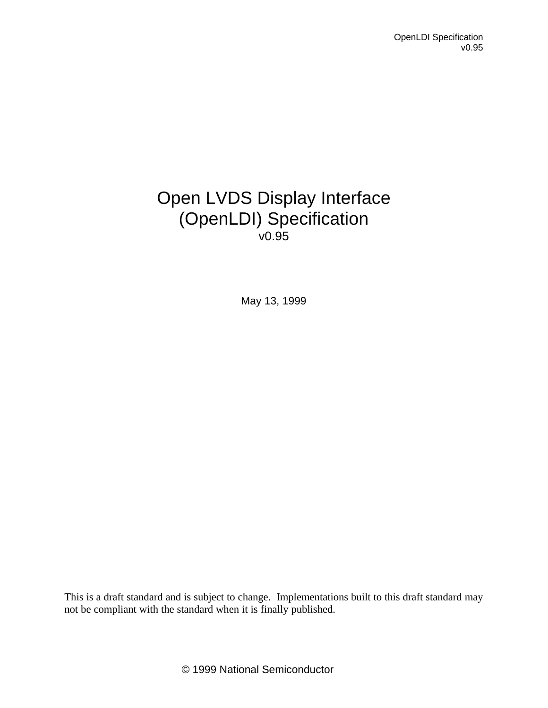# Open LVDS Display Interface (OpenLDI) Specification v0.95

May 13, 1999

This is a draft standard and is subject to change. Implementations built to this draft standard may not be compliant with the standard when it is finally published.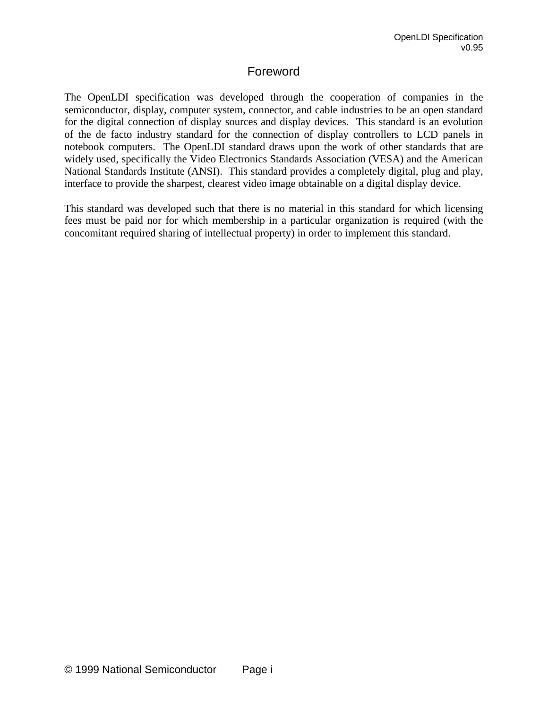## Foreword

The OpenLDI specification was developed through the cooperation of companies in the semiconductor, display, computer system, connector, and cable industries to be an open standard for the digital connection of display sources and display devices. This standard is an evolution of the de facto industry standard for the connection of display controllers to LCD panels in notebook computers. The OpenLDI standard draws upon the work of other standards that are widely used, specifically the Video Electronics Standards Association (VESA) and the American National Standards Institute (ANSI). This standard provides a completely digital, plug and play, interface to provide the sharpest, clearest video image obtainable on a digital display device.

This standard was developed such that there is no material in this standard for which licensing fees must be paid nor for which membership in a particular organization is required (with the concomitant required sharing of intellectual property) in order to implement this standard.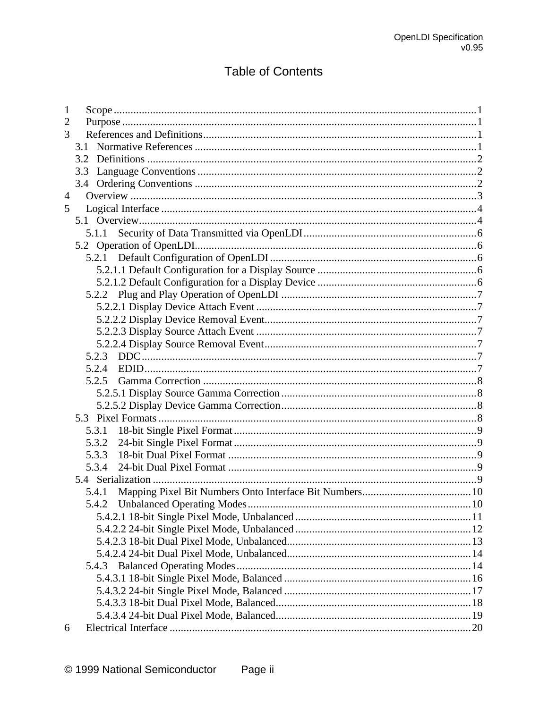## **Table of Contents**

| $\overline{2}$<br>3<br>3.1<br>3.2<br>3.3<br>$\overline{4}$<br>5<br>5.1.1<br>5.2.3<br>5.2.4<br>5.2.5<br>5.3.1<br>5.3.2<br>5.3.3<br>5.3.4<br>5.4.1 |
|--------------------------------------------------------------------------------------------------------------------------------------------------|
|                                                                                                                                                  |
|                                                                                                                                                  |
|                                                                                                                                                  |
|                                                                                                                                                  |
|                                                                                                                                                  |
|                                                                                                                                                  |
|                                                                                                                                                  |
|                                                                                                                                                  |
|                                                                                                                                                  |
|                                                                                                                                                  |
|                                                                                                                                                  |
|                                                                                                                                                  |
|                                                                                                                                                  |
|                                                                                                                                                  |
|                                                                                                                                                  |
|                                                                                                                                                  |
|                                                                                                                                                  |
|                                                                                                                                                  |
|                                                                                                                                                  |
|                                                                                                                                                  |
|                                                                                                                                                  |
|                                                                                                                                                  |
|                                                                                                                                                  |
|                                                                                                                                                  |
|                                                                                                                                                  |
|                                                                                                                                                  |
|                                                                                                                                                  |
|                                                                                                                                                  |
|                                                                                                                                                  |
|                                                                                                                                                  |
|                                                                                                                                                  |
|                                                                                                                                                  |
|                                                                                                                                                  |
|                                                                                                                                                  |
|                                                                                                                                                  |
|                                                                                                                                                  |
|                                                                                                                                                  |
|                                                                                                                                                  |
|                                                                                                                                                  |
|                                                                                                                                                  |
|                                                                                                                                                  |
| 6                                                                                                                                                |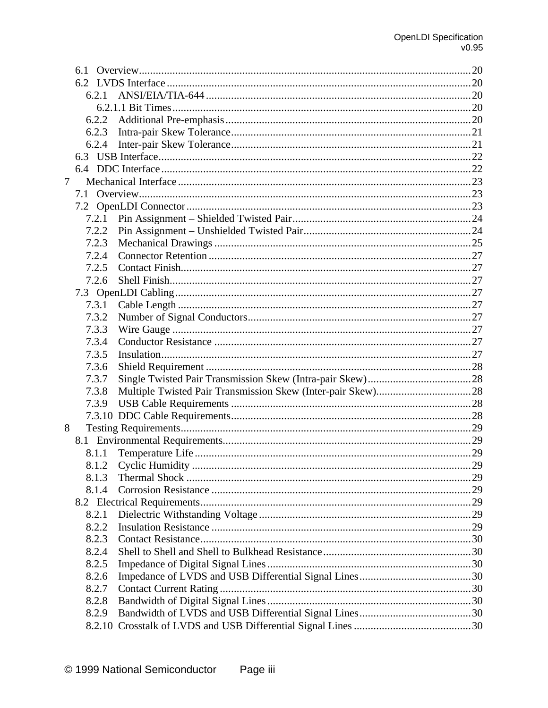|   | 6.1   |  |
|---|-------|--|
|   |       |  |
|   | 6.2.1 |  |
|   |       |  |
|   | 6.2.2 |  |
|   | 6.2.3 |  |
|   | 6.2.4 |  |
|   | 6.3   |  |
|   |       |  |
| 7 |       |  |
|   | 7.1   |  |
|   |       |  |
|   | 7.2.1 |  |
|   | 7.2.2 |  |
|   | 7.2.3 |  |
|   | 7.2.4 |  |
|   | 7.2.5 |  |
|   | 7.2.6 |  |
|   |       |  |
|   | 7.3.1 |  |
|   | 7.3.2 |  |
|   | 7.3.3 |  |
|   | 7.3.4 |  |
|   | 7.3.5 |  |
|   | 7.3.6 |  |
|   |       |  |
|   | 7.3.7 |  |
|   | 7.3.8 |  |
|   | 7.3.9 |  |
|   |       |  |
| 8 |       |  |
|   |       |  |
|   | 8.1.1 |  |
|   | 8.1.2 |  |
|   | 8.1.3 |  |
|   | 8.1.4 |  |
|   |       |  |
|   | 8.2.1 |  |
|   | 8.2.2 |  |
|   | 8.2.3 |  |
|   | 8.2.4 |  |
|   | 8.2.5 |  |
|   | 8.2.6 |  |
|   | 8.2.7 |  |
|   | 8.2.8 |  |
|   | 8.2.9 |  |
|   |       |  |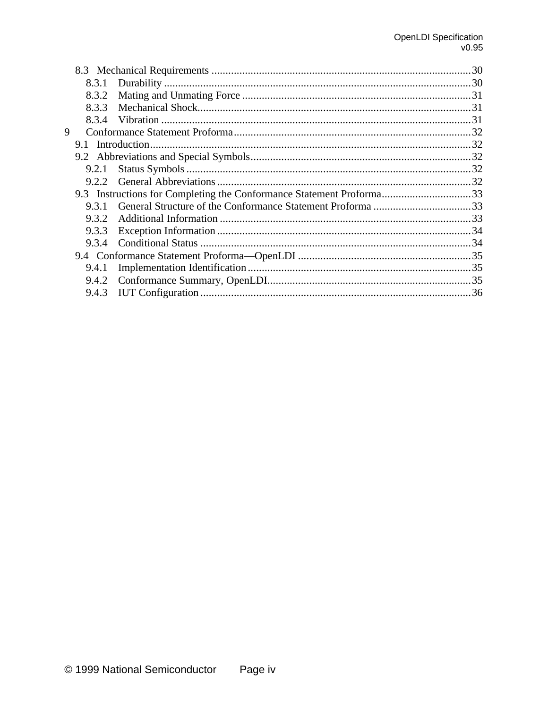|   | 8.3.1 |                                                                      |  |
|---|-------|----------------------------------------------------------------------|--|
|   | 8.3.2 |                                                                      |  |
|   | 8.3.3 |                                                                      |  |
|   | 8.3.4 |                                                                      |  |
| 9 |       |                                                                      |  |
|   |       |                                                                      |  |
|   |       |                                                                      |  |
|   | 9.2.1 |                                                                      |  |
|   |       |                                                                      |  |
|   |       | 9.3 Instructions for Completing the Conformance Statement Proforma33 |  |
|   | 9.3.1 |                                                                      |  |
|   | 9.3.2 |                                                                      |  |
|   | 9.3.3 |                                                                      |  |
|   |       |                                                                      |  |
|   |       |                                                                      |  |
|   | 9.4.1 |                                                                      |  |
|   |       |                                                                      |  |
|   |       |                                                                      |  |
|   |       |                                                                      |  |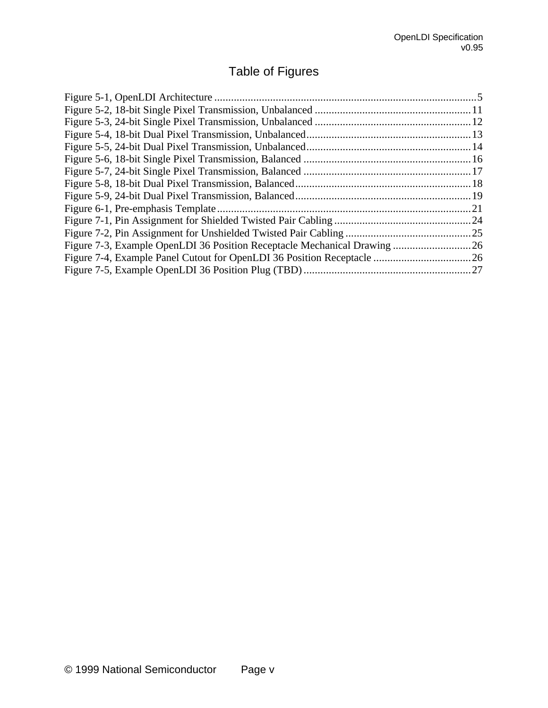# Table of Figures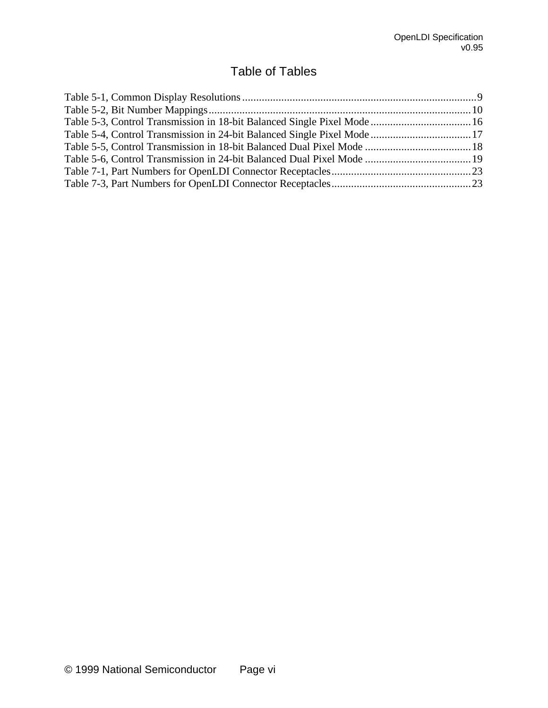## Table of Tables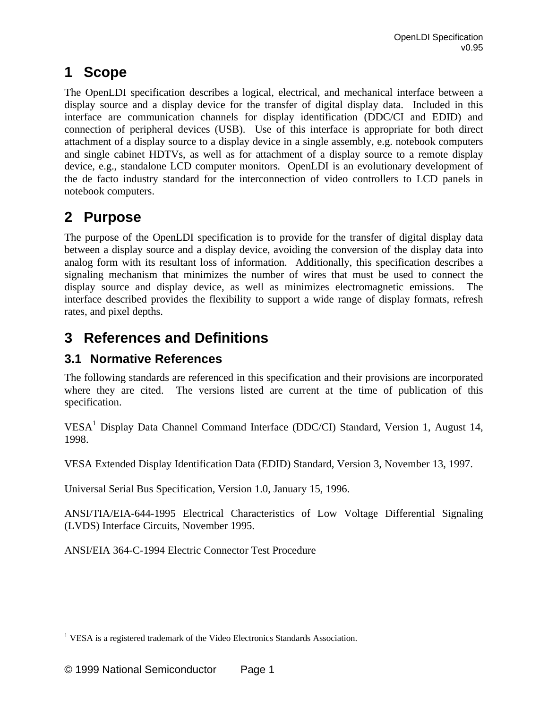# **1 Scope**

The OpenLDI specification describes a logical, electrical, and mechanical interface between a display source and a display device for the transfer of digital display data. Included in this interface are communication channels for display identification (DDC/CI and EDID) and connection of peripheral devices (USB). Use of this interface is appropriate for both direct attachment of a display source to a display device in a single assembly, e.g. notebook computers and single cabinet HDTVs, as well as for attachment of a display source to a remote display device, e.g., standalone LCD computer monitors. OpenLDI is an evolutionary development of the de facto industry standard for the interconnection of video controllers to LCD panels in notebook computers.

# **2 Purpose**

The purpose of the OpenLDI specification is to provide for the transfer of digital display data between a display source and a display device, avoiding the conversion of the display data into analog form with its resultant loss of information. Additionally, this specification describes a signaling mechanism that minimizes the number of wires that must be used to connect the display source and display device, as well as minimizes electromagnetic emissions. The interface described provides the flexibility to support a wide range of display formats, refresh rates, and pixel depths.

# **3 References and Definitions**

## **3.1 Normative References**

The following standards are referenced in this specification and their provisions are incorporated where they are cited. The versions listed are current at the time of publication of this specification.

VESA<sup>1</sup> Display Data Channel Command Interface (DDC/CI) Standard, Version 1, August 14, 1998.

VESA Extended Display Identification Data (EDID) Standard, Version 3, November 13, 1997.

Universal Serial Bus Specification, Version 1.0, January 15, 1996.

ANSI/TIA/EIA-644-1995 Electrical Characteristics of Low Voltage Differential Signaling (LVDS) Interface Circuits, November 1995.

ANSI/EIA 364-C-1994 Electric Connector Test Procedure

 $\overline{a}$ <sup>1</sup> VESA is a registered trademark of the Video Electronics Standards Association.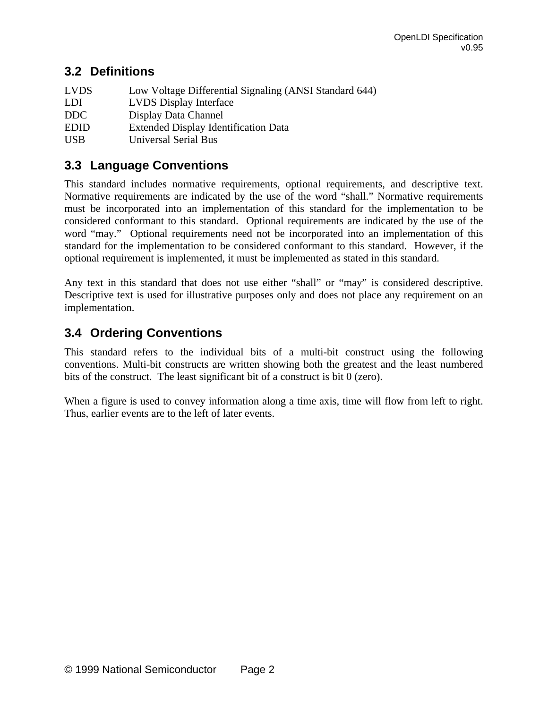## **3.2 Definitions**

| <b>LVDS</b> | Low Voltage Differential Signaling (ANSI Standard 644) |
|-------------|--------------------------------------------------------|
| LDI         | <b>LVDS</b> Display Interface                          |
| DDC         | Display Data Channel                                   |
| <b>EDID</b> | <b>Extended Display Identification Data</b>            |
| <b>USB</b>  | Universal Serial Bus                                   |

## **3.3 Language Conventions**

This standard includes normative requirements, optional requirements, and descriptive text. Normative requirements are indicated by the use of the word "shall." Normative requirements must be incorporated into an implementation of this standard for the implementation to be considered conformant to this standard. Optional requirements are indicated by the use of the word "may." Optional requirements need not be incorporated into an implementation of this standard for the implementation to be considered conformant to this standard. However, if the optional requirement is implemented, it must be implemented as stated in this standard.

Any text in this standard that does not use either "shall" or "may" is considered descriptive. Descriptive text is used for illustrative purposes only and does not place any requirement on an implementation.

## **3.4 Ordering Conventions**

This standard refers to the individual bits of a multi-bit construct using the following conventions. Multi-bit constructs are written showing both the greatest and the least numbered bits of the construct. The least significant bit of a construct is bit 0 (zero).

When a figure is used to convey information along a time axis, time will flow from left to right. Thus, earlier events are to the left of later events.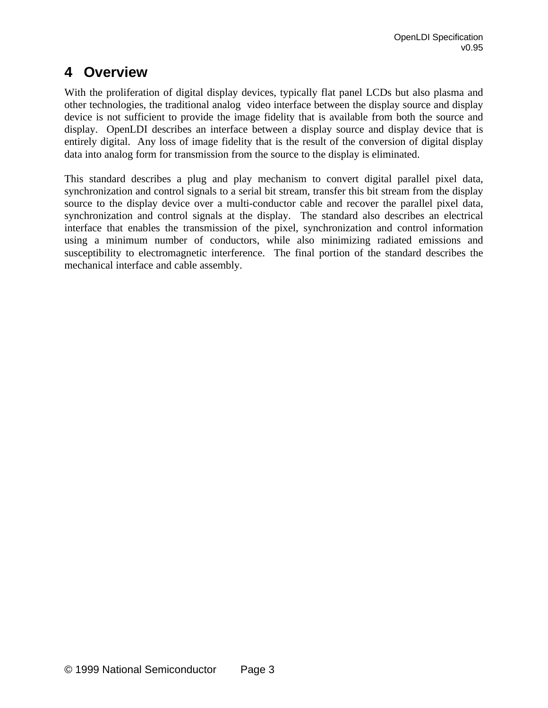# **4 Overview**

With the proliferation of digital display devices, typically flat panel LCDs but also plasma and other technologies, the traditional analog video interface between the display source and display device is not sufficient to provide the image fidelity that is available from both the source and display. OpenLDI describes an interface between a display source and display device that is entirely digital. Any loss of image fidelity that is the result of the conversion of digital display data into analog form for transmission from the source to the display is eliminated.

This standard describes a plug and play mechanism to convert digital parallel pixel data, synchronization and control signals to a serial bit stream, transfer this bit stream from the display source to the display device over a multi-conductor cable and recover the parallel pixel data, synchronization and control signals at the display. The standard also describes an electrical interface that enables the transmission of the pixel, synchronization and control information using a minimum number of conductors, while also minimizing radiated emissions and susceptibility to electromagnetic interference. The final portion of the standard describes the mechanical interface and cable assembly.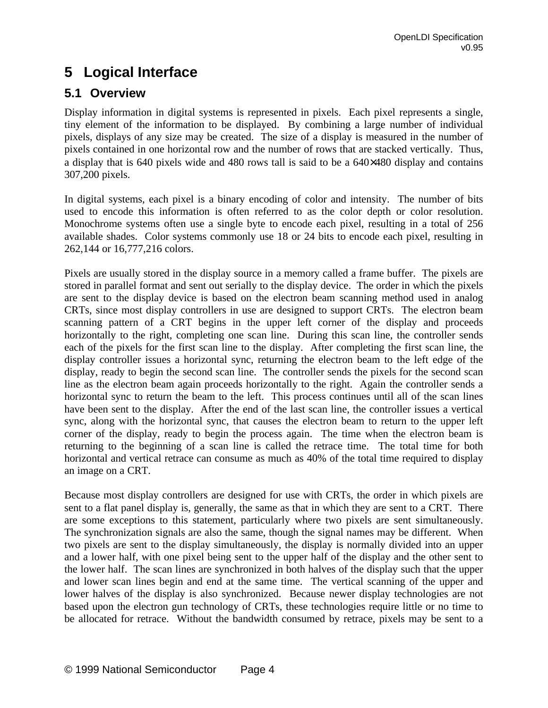# **5 Logical Interface**

## **5.1 Overview**

Display information in digital systems is represented in pixels. Each pixel represents a single, tiny element of the information to be displayed. By combining a large number of individual pixels, displays of any size may be created. The size of a display is measured in the number of pixels contained in one horizontal row and the number of rows that are stacked vertically. Thus, a display that is 640 pixels wide and 480 rows tall is said to be a 640×480 display and contains 307,200 pixels.

In digital systems, each pixel is a binary encoding of color and intensity. The number of bits used to encode this information is often referred to as the color depth or color resolution. Monochrome systems often use a single byte to encode each pixel, resulting in a total of 256 available shades. Color systems commonly use 18 or 24 bits to encode each pixel, resulting in 262,144 or 16,777,216 colors.

Pixels are usually stored in the display source in a memory called a frame buffer. The pixels are stored in parallel format and sent out serially to the display device. The order in which the pixels are sent to the display device is based on the electron beam scanning method used in analog CRTs, since most display controllers in use are designed to support CRTs. The electron beam scanning pattern of a CRT begins in the upper left corner of the display and proceeds horizontally to the right, completing one scan line. During this scan line, the controller sends each of the pixels for the first scan line to the display. After completing the first scan line, the display controller issues a horizontal sync, returning the electron beam to the left edge of the display, ready to begin the second scan line. The controller sends the pixels for the second scan line as the electron beam again proceeds horizontally to the right. Again the controller sends a horizontal sync to return the beam to the left. This process continues until all of the scan lines have been sent to the display. After the end of the last scan line, the controller issues a vertical sync, along with the horizontal sync, that causes the electron beam to return to the upper left corner of the display, ready to begin the process again. The time when the electron beam is returning to the beginning of a scan line is called the retrace time. The total time for both horizontal and vertical retrace can consume as much as 40% of the total time required to display an image on a CRT.

Because most display controllers are designed for use with CRTs, the order in which pixels are sent to a flat panel display is, generally, the same as that in which they are sent to a CRT. There are some exceptions to this statement, particularly where two pixels are sent simultaneously. The synchronization signals are also the same, though the signal names may be different. When two pixels are sent to the display simultaneously, the display is normally divided into an upper and a lower half, with one pixel being sent to the upper half of the display and the other sent to the lower half. The scan lines are synchronized in both halves of the display such that the upper and lower scan lines begin and end at the same time. The vertical scanning of the upper and lower halves of the display is also synchronized. Because newer display technologies are not based upon the electron gun technology of CRTs, these technologies require little or no time to be allocated for retrace. Without the bandwidth consumed by retrace, pixels may be sent to a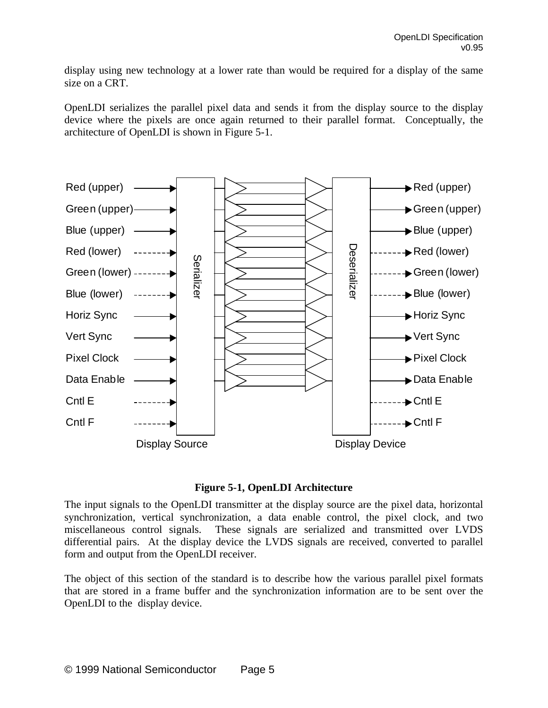display using new technology at a lower rate than would be required for a display of the same size on a CRT.

OpenLDI serializes the parallel pixel data and sends it from the display source to the display device where the pixels are once again returned to their parallel format. Conceptually, the architecture of OpenLDI is shown in Figure 5-1.



#### **Figure 5-1, OpenLDI Architecture**

The input signals to the OpenLDI transmitter at the display source are the pixel data, horizontal synchronization, vertical synchronization, a data enable control, the pixel clock, and two miscellaneous control signals. These signals are serialized and transmitted over LVDS differential pairs. At the display device the LVDS signals are received, converted to parallel form and output from the OpenLDI receiver.

The object of this section of the standard is to describe how the various parallel pixel formats that are stored in a frame buffer and the synchronization information are to be sent over the OpenLDI to the display device.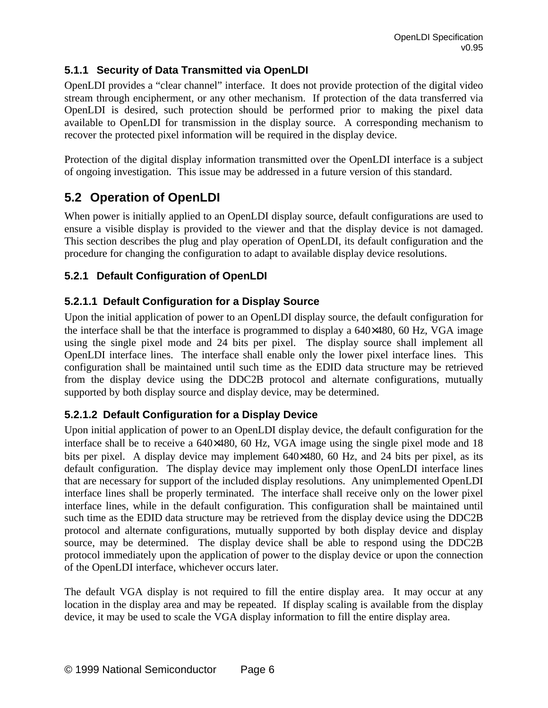## **5.1.1 Security of Data Transmitted via OpenLDI**

OpenLDI provides a "clear channel" interface. It does not provide protection of the digital video stream through encipherment, or any other mechanism. If protection of the data transferred via OpenLDI is desired, such protection should be performed prior to making the pixel data available to OpenLDI for transmission in the display source. A corresponding mechanism to recover the protected pixel information will be required in the display device.

Protection of the digital display information transmitted over the OpenLDI interface is a subject of ongoing investigation. This issue may be addressed in a future version of this standard.

## **5.2 Operation of OpenLDI**

When power is initially applied to an OpenLDI display source, default configurations are used to ensure a visible display is provided to the viewer and that the display device is not damaged. This section describes the plug and play operation of OpenLDI, its default configuration and the procedure for changing the configuration to adapt to available display device resolutions.

## **5.2.1 Default Configuration of OpenLDI**

### **5.2.1.1 Default Configuration for a Display Source**

Upon the initial application of power to an OpenLDI display source, the default configuration for the interface shall be that the interface is programmed to display a 640×480, 60 Hz, VGA image using the single pixel mode and 24 bits per pixel. The display source shall implement all OpenLDI interface lines. The interface shall enable only the lower pixel interface lines. This configuration shall be maintained until such time as the EDID data structure may be retrieved from the display device using the DDC2B protocol and alternate configurations, mutually supported by both display source and display device, may be determined.

### **5.2.1.2 Default Configuration for a Display Device**

Upon initial application of power to an OpenLDI display device, the default configuration for the interface shall be to receive a 640×480, 60 Hz, VGA image using the single pixel mode and 18 bits per pixel. A display device may implement 640×480, 60 Hz, and 24 bits per pixel, as its default configuration. The display device may implement only those OpenLDI interface lines that are necessary for support of the included display resolutions. Any unimplemented OpenLDI interface lines shall be properly terminated. The interface shall receive only on the lower pixel interface lines, while in the default configuration. This configuration shall be maintained until such time as the EDID data structure may be retrieved from the display device using the DDC2B protocol and alternate configurations, mutually supported by both display device and display source, may be determined. The display device shall be able to respond using the DDC2B protocol immediately upon the application of power to the display device or upon the connection of the OpenLDI interface, whichever occurs later.

The default VGA display is not required to fill the entire display area. It may occur at any location in the display area and may be repeated. If display scaling is available from the display device, it may be used to scale the VGA display information to fill the entire display area.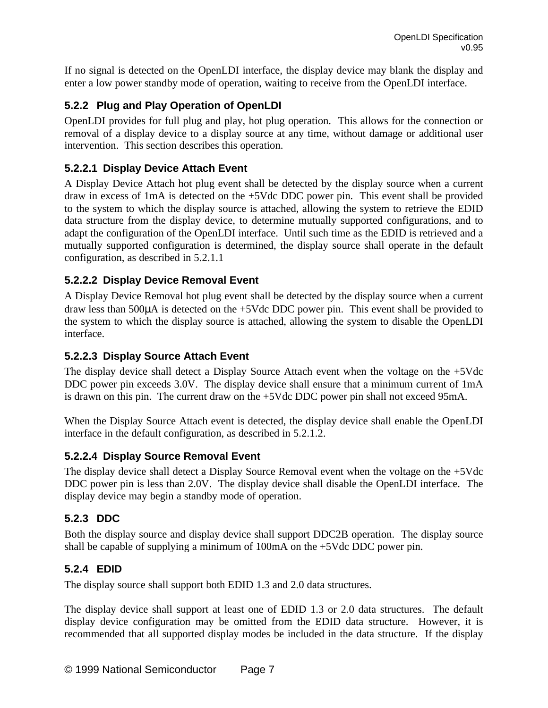If no signal is detected on the OpenLDI interface, the display device may blank the display and enter a low power standby mode of operation, waiting to receive from the OpenLDI interface.

## **5.2.2 Plug and Play Operation of OpenLDI**

OpenLDI provides for full plug and play, hot plug operation. This allows for the connection or removal of a display device to a display source at any time, without damage or additional user intervention. This section describes this operation.

### **5.2.2.1 Display Device Attach Event**

A Display Device Attach hot plug event shall be detected by the display source when a current draw in excess of 1mA is detected on the +5Vdc DDC power pin. This event shall be provided to the system to which the display source is attached, allowing the system to retrieve the EDID data structure from the display device, to determine mutually supported configurations, and to adapt the configuration of the OpenLDI interface. Until such time as the EDID is retrieved and a mutually supported configuration is determined, the display source shall operate in the default configuration, as described in 5.2.1.1

## **5.2.2.2 Display Device Removal Event**

A Display Device Removal hot plug event shall be detected by the display source when a current draw less than 500μA is detected on the +5Vdc DDC power pin. This event shall be provided to the system to which the display source is attached, allowing the system to disable the OpenLDI interface.

## **5.2.2.3 Display Source Attach Event**

The display device shall detect a Display Source Attach event when the voltage on the +5Vdc DDC power pin exceeds 3.0V. The display device shall ensure that a minimum current of 1mA is drawn on this pin. The current draw on the +5Vdc DDC power pin shall not exceed 95mA.

When the Display Source Attach event is detected, the display device shall enable the OpenLDI interface in the default configuration, as described in 5.2.1.2.

### **5.2.2.4 Display Source Removal Event**

The display device shall detect a Display Source Removal event when the voltage on the +5Vdc DDC power pin is less than 2.0V. The display device shall disable the OpenLDI interface. The display device may begin a standby mode of operation.

## **5.2.3 DDC**

Both the display source and display device shall support DDC2B operation. The display source shall be capable of supplying a minimum of 100mA on the +5Vdc DDC power pin.

## **5.2.4 EDID**

The display source shall support both EDID 1.3 and 2.0 data structures.

The display device shall support at least one of EDID 1.3 or 2.0 data structures. The default display device configuration may be omitted from the EDID data structure. However, it is recommended that all supported display modes be included in the data structure. If the display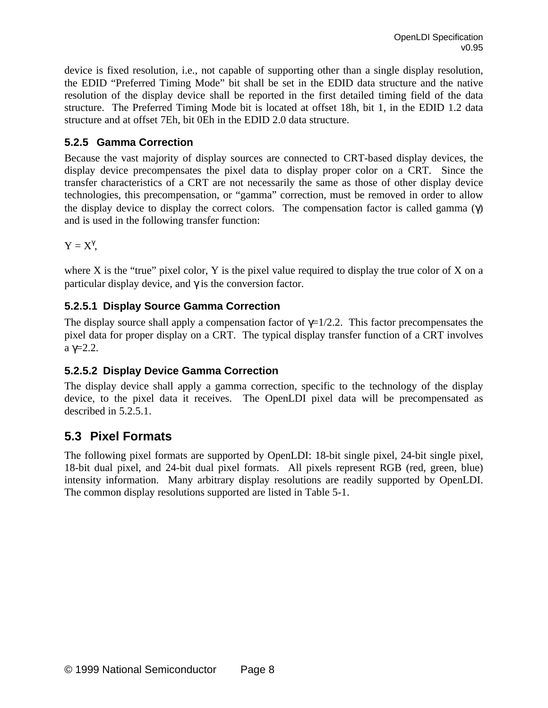device is fixed resolution, i.e., not capable of supporting other than a single display resolution, the EDID "Preferred Timing Mode" bit shall be set in the EDID data structure and the native resolution of the display device shall be reported in the first detailed timing field of the data structure. The Preferred Timing Mode bit is located at offset 18h, bit 1, in the EDID 1.2 data structure and at offset 7Eh, bit 0Eh in the EDID 2.0 data structure.

## **5.2.5 Gamma Correction**

Because the vast majority of display sources are connected to CRT-based display devices, the display device precompensates the pixel data to display proper color on a CRT. Since the transfer characteristics of a CRT are not necessarily the same as those of other display device technologies, this precompensation, or "gamma" correction, must be removed in order to allow the display device to display the correct colors. The compensation factor is called gamma  $(\gamma)$ and is used in the following transfer function:

 $Y = X^{\gamma}$ ,

where X is the "true" pixel color, Y is the pixel value required to display the true color of X on a particular display device, and  $\gamma$  is the conversion factor.

## **5.2.5.1 Display Source Gamma Correction**

The display source shall apply a compensation factor of  $\gamma=1/2.2$ . This factor precompensates the pixel data for proper display on a CRT. The typical display transfer function of a CRT involves a γ=2.2.

## **5.2.5.2 Display Device Gamma Correction**

The display device shall apply a gamma correction, specific to the technology of the display device, to the pixel data it receives. The OpenLDI pixel data will be precompensated as described in 5.2.5.1.

## **5.3 Pixel Formats**

The following pixel formats are supported by OpenLDI: 18-bit single pixel, 24-bit single pixel, 18-bit dual pixel, and 24-bit dual pixel formats. All pixels represent RGB (red, green, blue) intensity information. Many arbitrary display resolutions are readily supported by OpenLDI. The common display resolutions supported are listed in Table 5-1.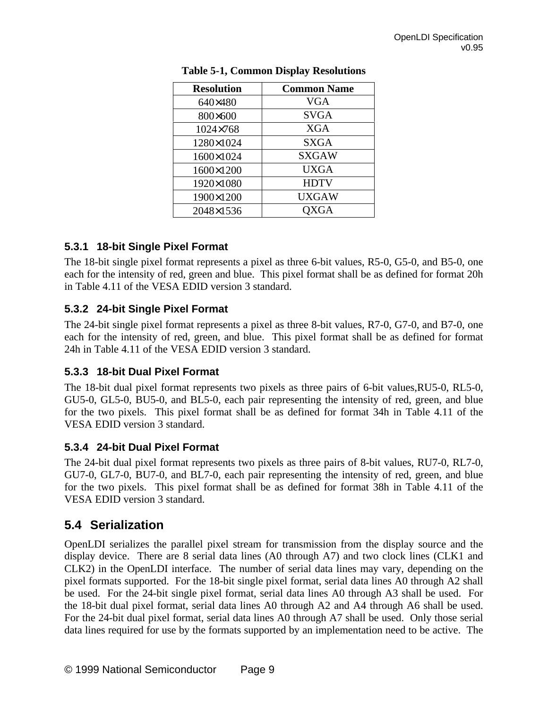| <b>Resolution</b> | <b>Common Name</b> |
|-------------------|--------------------|
| 640×480           | <b>VGA</b>         |
| 800×600           | <b>SVGA</b>        |
| 1024×768          | <b>XGA</b>         |
| 1280×1024         | <b>SXGA</b>        |
| 1600×1024         | <b>SXGAW</b>       |
| 1600×1200         | <b>UXGA</b>        |
| 1920×1080         | <b>HDTV</b>        |
| 1900×1200         | <b>UXGAW</b>       |
| 2048×1536         | <b>OXGA</b>        |

#### **5.3.1 18-bit Single Pixel Format**

The 18-bit single pixel format represents a pixel as three 6-bit values, R5-0, G5-0, and B5-0, one each for the intensity of red, green and blue. This pixel format shall be as defined for format 20h in Table 4.11 of the VESA EDID version 3 standard.

### **5.3.2 24-bit Single Pixel Format**

The 24-bit single pixel format represents a pixel as three 8-bit values, R7-0, G7-0, and B7-0, one each for the intensity of red, green, and blue. This pixel format shall be as defined for format 24h in Table 4.11 of the VESA EDID version 3 standard.

### **5.3.3 18-bit Dual Pixel Format**

The 18-bit dual pixel format represents two pixels as three pairs of 6-bit values,RU5-0, RL5-0, GU5-0, GL5-0, BU5-0, and BL5-0, each pair representing the intensity of red, green, and blue for the two pixels. This pixel format shall be as defined for format 34h in Table 4.11 of the VESA EDID version 3 standard.

### **5.3.4 24-bit Dual Pixel Format**

The 24-bit dual pixel format represents two pixels as three pairs of 8-bit values, RU7-0, RL7-0, GU7-0, GL7-0, BU7-0, and BL7-0, each pair representing the intensity of red, green, and blue for the two pixels. This pixel format shall be as defined for format 38h in Table 4.11 of the VESA EDID version 3 standard.

## **5.4 Serialization**

OpenLDI serializes the parallel pixel stream for transmission from the display source and the display device. There are 8 serial data lines (A0 through A7) and two clock lines (CLK1 and CLK2) in the OpenLDI interface. The number of serial data lines may vary, depending on the pixel formats supported. For the 18-bit single pixel format, serial data lines A0 through A2 shall be used. For the 24-bit single pixel format, serial data lines A0 through A3 shall be used. For the 18-bit dual pixel format, serial data lines A0 through A2 and A4 through A6 shall be used. For the 24-bit dual pixel format, serial data lines A0 through A7 shall be used. Only those serial data lines required for use by the formats supported by an implementation need to be active. The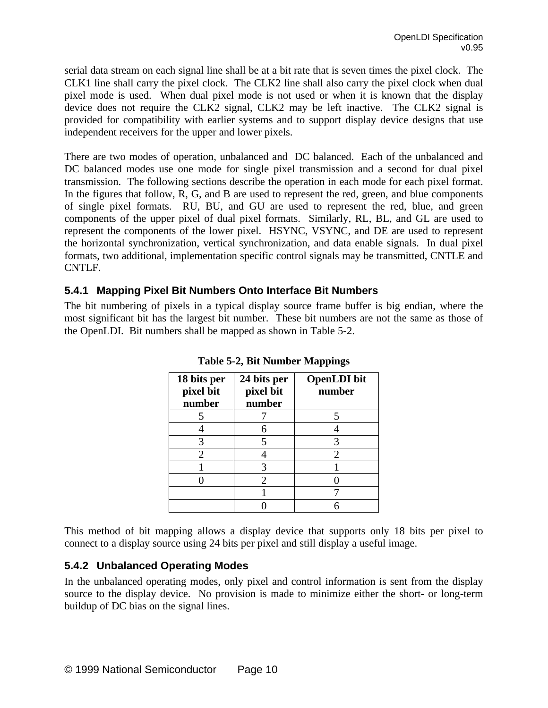serial data stream on each signal line shall be at a bit rate that is seven times the pixel clock. The CLK1 line shall carry the pixel clock. The CLK2 line shall also carry the pixel clock when dual pixel mode is used. When dual pixel mode is not used or when it is known that the display device does not require the CLK2 signal, CLK2 may be left inactive. The CLK2 signal is provided for compatibility with earlier systems and to support display device designs that use independent receivers for the upper and lower pixels.

There are two modes of operation, unbalanced and DC balanced. Each of the unbalanced and DC balanced modes use one mode for single pixel transmission and a second for dual pixel transmission. The following sections describe the operation in each mode for each pixel format. In the figures that follow, R, G, and B are used to represent the red, green, and blue components of single pixel formats. RU, BU, and GU are used to represent the red, blue, and green components of the upper pixel of dual pixel formats. Similarly, RL, BL, and GL are used to represent the components of the lower pixel. HSYNC, VSYNC, and DE are used to represent the horizontal synchronization, vertical synchronization, and data enable signals. In dual pixel formats, two additional, implementation specific control signals may be transmitted, CNTLE and CNTLF.

### **5.4.1 Mapping Pixel Bit Numbers Onto Interface Bit Numbers**

The bit numbering of pixels in a typical display source frame buffer is big endian, where the most significant bit has the largest bit number. These bit numbers are not the same as those of the OpenLDI. Bit numbers shall be mapped as shown in Table 5-2.

| 18 bits per<br>pixel bit<br>number | 24 bits per<br>pixel bit<br>number | <b>OpenLDI</b> bit<br>number |
|------------------------------------|------------------------------------|------------------------------|
|                                    |                                    |                              |
|                                    | 6                                  |                              |
| 3                                  | 5                                  |                              |
| 2                                  |                                    | 2                            |
|                                    | 3                                  |                              |
|                                    | 2                                  |                              |
|                                    |                                    |                              |
|                                    |                                    |                              |

**Table 5-2, Bit Number Mappings**

This method of bit mapping allows a display device that supports only 18 bits per pixel to connect to a display source using 24 bits per pixel and still display a useful image.

### **5.4.2 Unbalanced Operating Modes**

In the unbalanced operating modes, only pixel and control information is sent from the display source to the display device. No provision is made to minimize either the short- or long-term buildup of DC bias on the signal lines.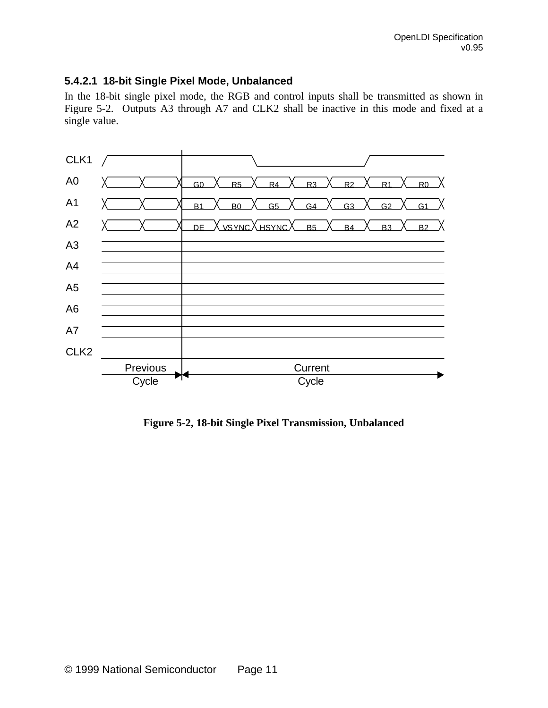#### **5.4.2.1 18-bit Single Pixel Mode, Unbalanced**

In the 18-bit single pixel mode, the RGB and control inputs shall be transmitted as shown in Figure 5-2. Outputs A3 through A7 and CLK2 shall be inactive in this mode and fixed at a single value.



**Figure 5-2, 18-bit Single Pixel Transmission, Unbalanced**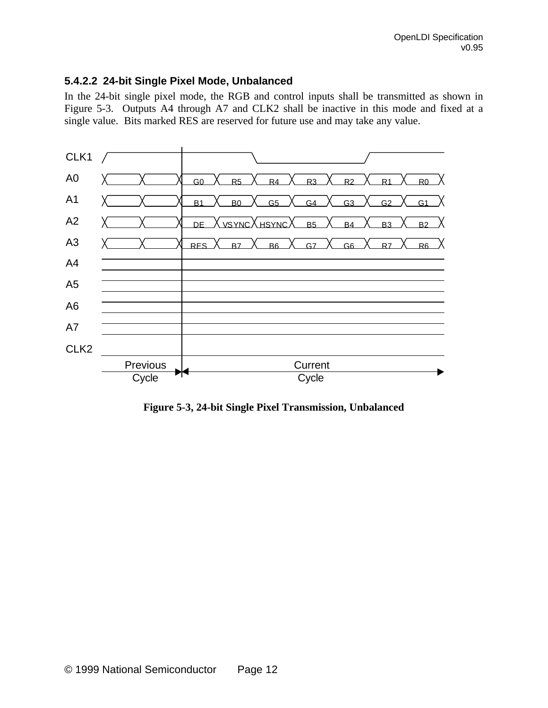#### **5.4.2.2 24-bit Single Pixel Mode, Unbalanced**

In the 24-bit single pixel mode, the RGB and control inputs shall be transmitted as shown in Figure 5-3. Outputs A4 through A7 and CLK2 shall be inactive in this mode and fixed at a single value. Bits marked RES are reserved for future use and may take any value.



**Figure 5-3, 24-bit Single Pixel Transmission, Unbalanced**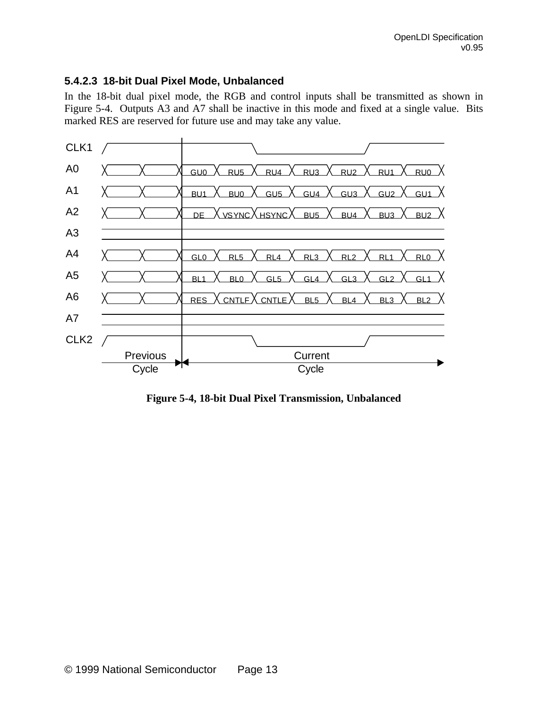### **5.4.2.3 18-bit Dual Pixel Mode, Unbalanced**

In the 18-bit dual pixel mode, the RGB and control inputs shall be transmitted as shown in Figure 5-4. Outputs A3 and A7 shall be inactive in this mode and fixed at a single value. Bits marked RES are reserved for future use and may take any value.



**Figure 5-4, 18-bit Dual Pixel Transmission, Unbalanced**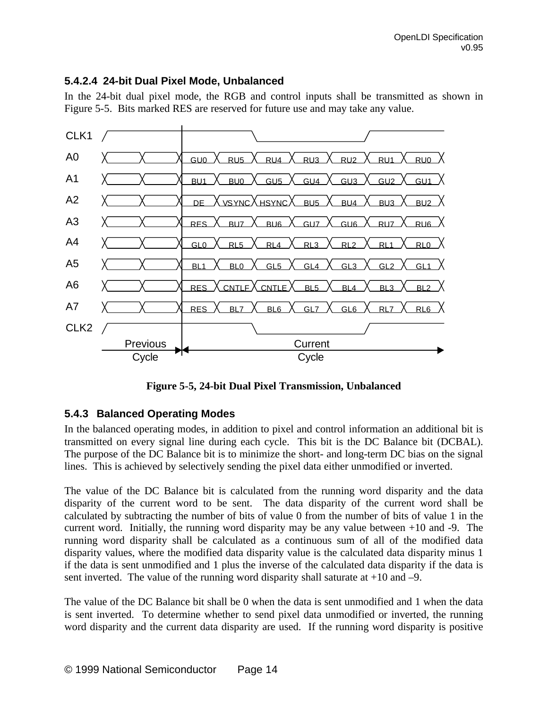### **5.4.2.4 24-bit Dual Pixel Mode, Unbalanced**

In the 24-bit dual pixel mode, the RGB and control inputs shall be transmitted as shown in Figure 5-5. Bits marked RES are reserved for future use and may take any value.



**Figure 5-5, 24-bit Dual Pixel Transmission, Unbalanced**

### **5.4.3 Balanced Operating Modes**

In the balanced operating modes, in addition to pixel and control information an additional bit is transmitted on every signal line during each cycle. This bit is the DC Balance bit (DCBAL). The purpose of the DC Balance bit is to minimize the short- and long-term DC bias on the signal lines. This is achieved by selectively sending the pixel data either unmodified or inverted.

The value of the DC Balance bit is calculated from the running word disparity and the data disparity of the current word to be sent. The data disparity of the current word shall be calculated by subtracting the number of bits of value 0 from the number of bits of value 1 in the current word. Initially, the running word disparity may be any value between +10 and -9. The running word disparity shall be calculated as a continuous sum of all of the modified data disparity values, where the modified data disparity value is the calculated data disparity minus 1 if the data is sent unmodified and 1 plus the inverse of the calculated data disparity if the data is sent inverted. The value of the running word disparity shall saturate at +10 and –9.

The value of the DC Balance bit shall be 0 when the data is sent unmodified and 1 when the data is sent inverted. To determine whether to send pixel data unmodified or inverted, the running word disparity and the current data disparity are used. If the running word disparity is positive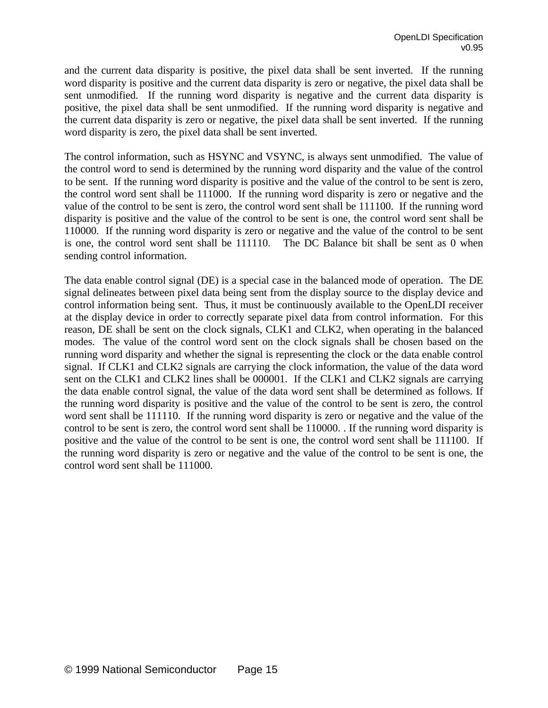and the current data disparity is positive, the pixel data shall be sent inverted. If the running word disparity is positive and the current data disparity is zero or negative, the pixel data shall be sent unmodified. If the running word disparity is negative and the current data disparity is positive, the pixel data shall be sent unmodified. If the running word disparity is negative and the current data disparity is zero or negative, the pixel data shall be sent inverted. If the running word disparity is zero, the pixel data shall be sent inverted.

The control information, such as HSYNC and VSYNC, is always sent unmodified. The value of the control word to send is determined by the running word disparity and the value of the control to be sent. If the running word disparity is positive and the value of the control to be sent is zero, the control word sent shall be 111000. If the running word disparity is zero or negative and the value of the control to be sent is zero, the control word sent shall be 111100. If the running word disparity is positive and the value of the control to be sent is one, the control word sent shall be 110000. If the running word disparity is zero or negative and the value of the control to be sent is one, the control word sent shall be 111110. The DC Balance bit shall be sent as 0 when sending control information.

The data enable control signal (DE) is a special case in the balanced mode of operation. The DE signal delineates between pixel data being sent from the display source to the display device and control information being sent. Thus, it must be continuously available to the OpenLDI receiver at the display device in order to correctly separate pixel data from control information. For this reason, DE shall be sent on the clock signals, CLK1 and CLK2, when operating in the balanced modes. The value of the control word sent on the clock signals shall be chosen based on the running word disparity and whether the signal is representing the clock or the data enable control signal. If CLK1 and CLK2 signals are carrying the clock information, the value of the data word sent on the CLK1 and CLK2 lines shall be 000001. If the CLK1 and CLK2 signals are carrying the data enable control signal, the value of the data word sent shall be determined as follows. If the running word disparity is positive and the value of the control to be sent is zero, the control word sent shall be 111110. If the running word disparity is zero or negative and the value of the control to be sent is zero, the control word sent shall be 110000. . If the running word disparity is positive and the value of the control to be sent is one, the control word sent shall be 111100. If the running word disparity is zero or negative and the value of the control to be sent is one, the control word sent shall be 111000.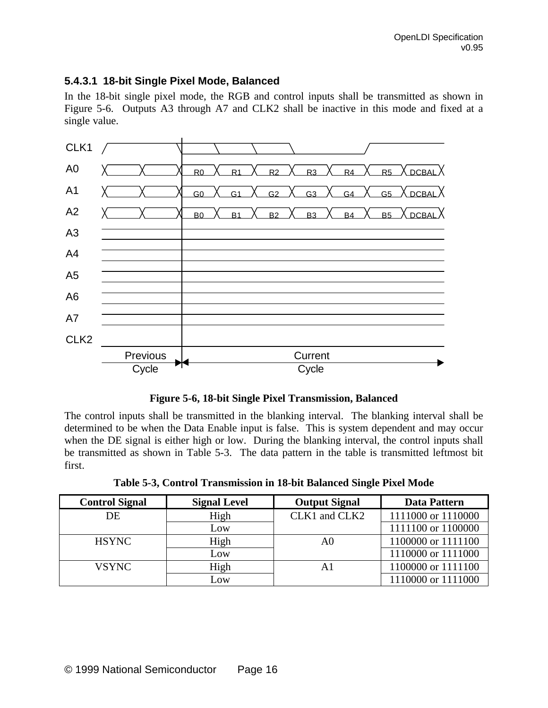### **5.4.3.1 18-bit Single Pixel Mode, Balanced**

In the 18-bit single pixel mode, the RGB and control inputs shall be transmitted as shown in Figure 5-6. Outputs A3 through A7 and CLK2 shall be inactive in this mode and fixed at a single value.



**Figure 5-6, 18-bit Single Pixel Transmission, Balanced**

The control inputs shall be transmitted in the blanking interval. The blanking interval shall be determined to be when the Data Enable input is false. This is system dependent and may occur when the DE signal is either high or low. During the blanking interval, the control inputs shall be transmitted as shown in Table 5-3. The data pattern in the table is transmitted leftmost bit first.

**Table 5-3, Control Transmission in 18-bit Balanced Single Pixel Mode**

| <b>Control Signal</b> | <b>Signal Level</b> | <b>Output Signal</b> | <b>Data Pattern</b> |
|-----------------------|---------------------|----------------------|---------------------|
| DE                    | High                | CLK1 and CLK2        | 1111000 or 1110000  |
|                       | Low                 |                      | 1111100 or 1100000  |
| <b>HSYNC</b>          | High                | A0                   | 1100000 or 1111100  |
|                       | Low                 |                      | 1110000 or 1111000  |
| <b>VSYNC</b>          | High                | A1                   | 1100000 or 1111100  |
|                       | Low                 |                      | 1110000 or 1111000  |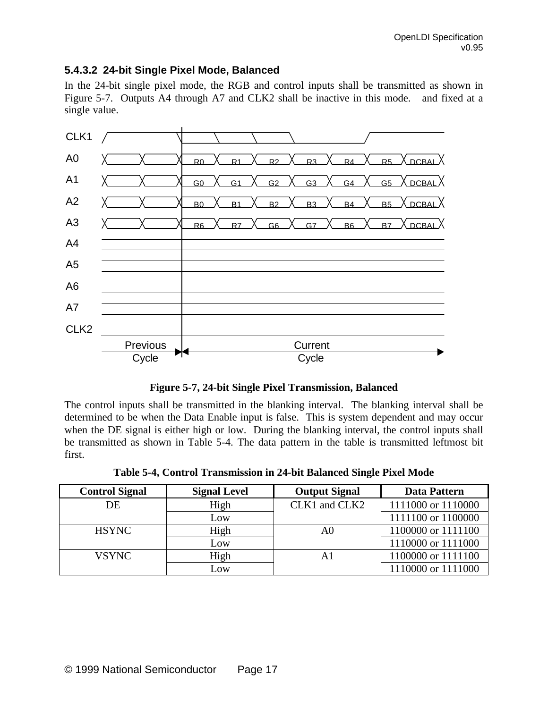#### **5.4.3.2 24-bit Single Pixel Mode, Balanced**

In the 24-bit single pixel mode, the RGB and control inputs shall be transmitted as shown in Figure 5-7. Outputs A4 through A7 and CLK2 shall be inactive in this mode. and fixed at a single value.



**Figure 5-7, 24-bit Single Pixel Transmission, Balanced**

The control inputs shall be transmitted in the blanking interval. The blanking interval shall be determined to be when the Data Enable input is false. This is system dependent and may occur when the DE signal is either high or low. During the blanking interval, the control inputs shall be transmitted as shown in Table 5-4. The data pattern in the table is transmitted leftmost bit first.

|  | Table 5-4, Control Transmission in 24-bit Balanced Single Pixel Mode |  |  |
|--|----------------------------------------------------------------------|--|--|
|  |                                                                      |  |  |

| <b>Control Signal</b> | <b>Signal Level</b> | <b>Output Signal</b> | <b>Data Pattern</b> |
|-----------------------|---------------------|----------------------|---------------------|
| DE                    | High                | CLK1 and CLK2        | 1111000 or 1110000  |
|                       | Low                 |                      | 1111100 or 1100000  |
| <b>HSYNC</b>          | High                | A0                   | 1100000 or 1111100  |
|                       | Low                 |                      | 1110000 or 1111000  |
| <b>VSYNC</b>          | High                | A1                   | 1100000 or 1111100  |
|                       | Low                 |                      | 1110000 or 1111000  |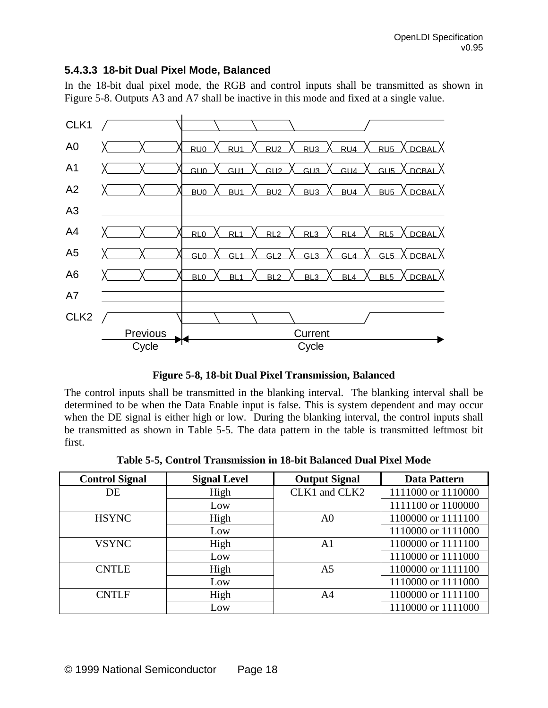#### **5.4.3.3 18-bit Dual Pixel Mode, Balanced**

In the 18-bit dual pixel mode, the RGB and control inputs shall be transmitted as shown in Figure 5-8. Outputs A3 and A7 shall be inactive in this mode and fixed at a single value.



**Figure 5-8, 18-bit Dual Pixel Transmission, Balanced**

The control inputs shall be transmitted in the blanking interval. The blanking interval shall be determined to be when the Data Enable input is false. This is system dependent and may occur when the DE signal is either high or low. During the blanking interval, the control inputs shall be transmitted as shown in Table 5-5. The data pattern in the table is transmitted leftmost bit first.

| <b>Control Signal</b> | <b>Signal Level</b> | <b>Output Signal</b> | <b>Data Pattern</b> |
|-----------------------|---------------------|----------------------|---------------------|
| DE                    | High                | CLK1 and CLK2        | 1111000 or 1110000  |
|                       | Low                 |                      | 1111100 or 1100000  |
| <b>HSYNC</b>          | High                | A <sub>0</sub>       | 1100000 or 1111100  |
|                       | Low                 |                      | 1110000 or 1111000  |
| <b>VSYNC</b>          | High                | A1                   | 1100000 or 1111100  |
|                       | Low                 |                      | 1110000 or 1111000  |
| <b>CNTLE</b>          | High                | A <sub>5</sub>       | 1100000 or 1111100  |
|                       | Low                 |                      | 1110000 or 1111000  |
| <b>CNTLF</b>          | High                | A <sub>4</sub>       | 1100000 or 1111100  |
|                       | Low                 |                      | 1110000 or 1111000  |

**Table 5-5, Control Transmission in 18-bit Balanced Dual Pixel Mode**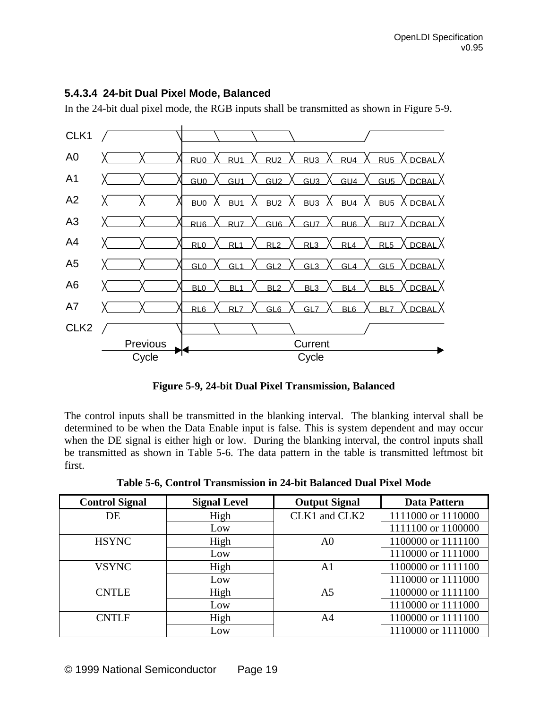#### **5.4.3.4 24-bit Dual Pixel Mode, Balanced**

In the 24-bit dual pixel mode, the RGB inputs shall be transmitted as shown in Figure 5-9.



**Figure 5-9, 24-bit Dual Pixel Transmission, Balanced**

The control inputs shall be transmitted in the blanking interval. The blanking interval shall be determined to be when the Data Enable input is false. This is system dependent and may occur when the DE signal is either high or low. During the blanking interval, the control inputs shall be transmitted as shown in Table 5-6. The data pattern in the table is transmitted leftmost bit first.

**Table 5-6, Control Transmission in 24-bit Balanced Dual Pixel Mode**

| <b>Control Signal</b> | <b>Signal Level</b> | <b>Output Signal</b> | <b>Data Pattern</b> |
|-----------------------|---------------------|----------------------|---------------------|
| DE                    | High                | CLK1 and CLK2        | 1111000 or 1110000  |
|                       | Low                 |                      | 1111100 or 1100000  |
| <b>HSYNC</b>          | High                | A <sub>0</sub>       | 1100000 or 1111100  |
|                       | Low                 |                      | 1110000 or 1111000  |
| <b>VSYNC</b>          | High                | A1                   | 1100000 or 1111100  |
|                       | Low                 |                      | 1110000 or 1111000  |
| <b>CNTLE</b>          | High                | A <sub>5</sub>       | 1100000 or 1111100  |
|                       | Low                 |                      | 1110000 or 1111000  |
| <b>CNTLF</b>          | High                | A <sub>4</sub>       | 1100000 or 1111100  |
|                       | Low                 |                      | 1110000 or 1111000  |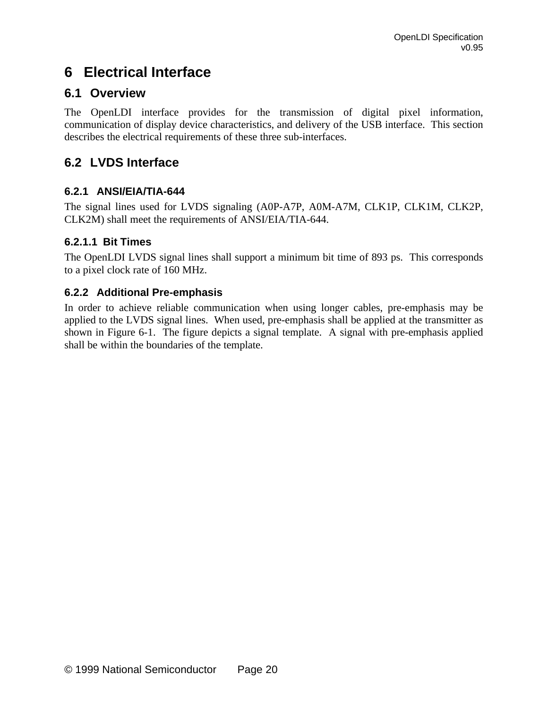# **6 Electrical Interface**

## **6.1 Overview**

The OpenLDI interface provides for the transmission of digital pixel information, communication of display device characteristics, and delivery of the USB interface. This section describes the electrical requirements of these three sub-interfaces.

## **6.2 LVDS Interface**

### **6.2.1 ANSI/EIA/TIA-644**

The signal lines used for LVDS signaling (A0P-A7P, A0M-A7M, CLK1P, CLK1M, CLK2P, CLK2M) shall meet the requirements of ANSI/EIA/TIA-644.

### **6.2.1.1 Bit Times**

The OpenLDI LVDS signal lines shall support a minimum bit time of 893 ps. This corresponds to a pixel clock rate of 160 MHz.

### **6.2.2 Additional Pre-emphasis**

In order to achieve reliable communication when using longer cables, pre-emphasis may be applied to the LVDS signal lines. When used, pre-emphasis shall be applied at the transmitter as shown in Figure 6-1. The figure depicts a signal template. A signal with pre-emphasis applied shall be within the boundaries of the template.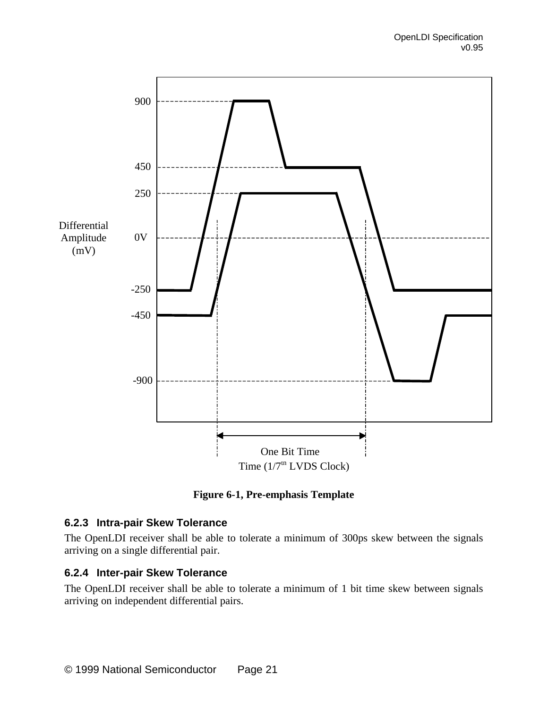

**Figure 6-1, Pre-emphasis Template**

#### **6.2.3 Intra-pair Skew Tolerance**

The OpenLDI receiver shall be able to tolerate a minimum of 300ps skew between the signals arriving on a single differential pair.

#### **6.2.4 Inter-pair Skew Tolerance**

The OpenLDI receiver shall be able to tolerate a minimum of 1 bit time skew between signals arriving on independent differential pairs.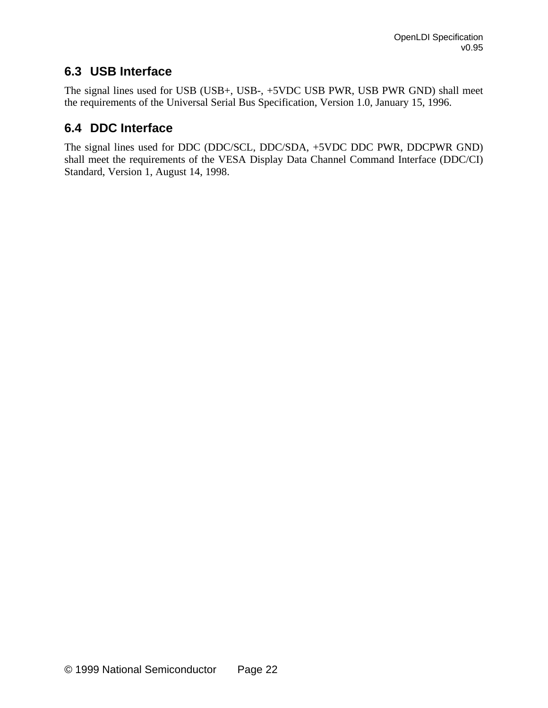## **6.3 USB Interface**

The signal lines used for USB (USB+, USB-, +5VDC USB PWR, USB PWR GND) shall meet the requirements of the Universal Serial Bus Specification, Version 1.0, January 15, 1996.

## **6.4 DDC Interface**

The signal lines used for DDC (DDC/SCL, DDC/SDA, +5VDC DDC PWR, DDCPWR GND) shall meet the requirements of the VESA Display Data Channel Command Interface (DDC/CI) Standard, Version 1, August 14, 1998.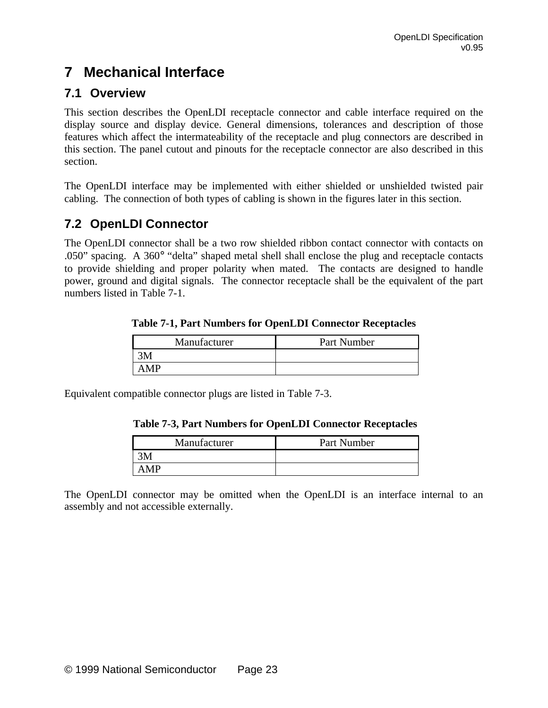# **7 Mechanical Interface**

## **7.1 Overview**

This section describes the OpenLDI receptacle connector and cable interface required on the display source and display device. General dimensions, tolerances and description of those features which affect the intermateability of the receptacle and plug connectors are described in this section. The panel cutout and pinouts for the receptacle connector are also described in this section.

The OpenLDI interface may be implemented with either shielded or unshielded twisted pair cabling. The connection of both types of cabling is shown in the figures later in this section.

## **7.2 OpenLDI Connector**

The OpenLDI connector shall be a two row shielded ribbon contact connector with contacts on .050" spacing. A 360° "delta" shaped metal shell shall enclose the plug and receptacle contacts to provide shielding and proper polarity when mated. The contacts are designed to handle power, ground and digital signals. The connector receptacle shall be the equivalent of the part numbers listed in Table 7-1.

**Table 7-1, Part Numbers for OpenLDI Connector Receptacles**

| Manufacturer | Part Number |
|--------------|-------------|
|              |             |
| A MP         |             |

Equivalent compatible connector plugs are listed in Table 7-3.

| <b>Table 7-3, Part Numbers for OpenLDI Connector Receptacles</b> |  |
|------------------------------------------------------------------|--|
|------------------------------------------------------------------|--|

| Manufacturer | Part Number |
|--------------|-------------|
|              |             |
| A MP         |             |

The OpenLDI connector may be omitted when the OpenLDI is an interface internal to an assembly and not accessible externally.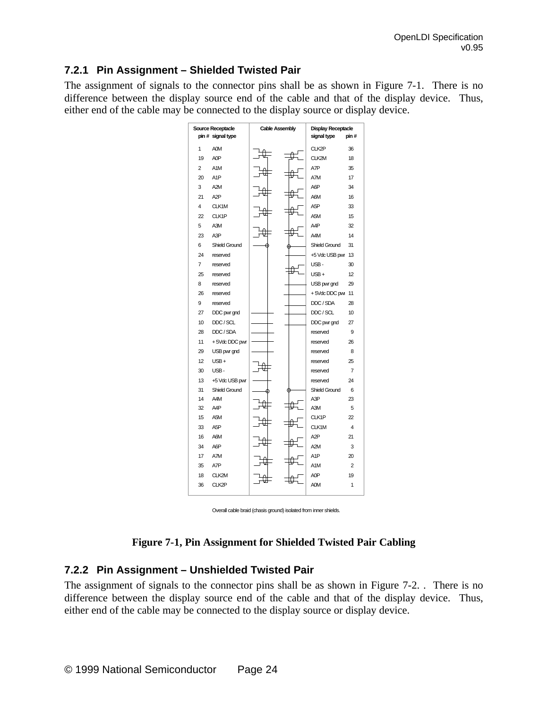### **7.2.1 Pin Assignment – Shielded Twisted Pair**

The assignment of signals to the connector pins shall be as shown in Figure 7-1. There is no difference between the display source end of the cable and that of the display device. Thus, either end of the cable may be connected to the display source or display device.



Overall cable braid (chasis ground) isolated from inner shields.

#### **Figure 7-1, Pin Assignment for Shielded Twisted Pair Cabling**

#### **7.2.2 Pin Assignment – Unshielded Twisted Pair**

The assignment of signals to the connector pins shall be as shown in Figure 7-2. . There is no difference between the display source end of the cable and that of the display device. Thus, either end of the cable may be connected to the display source or display device.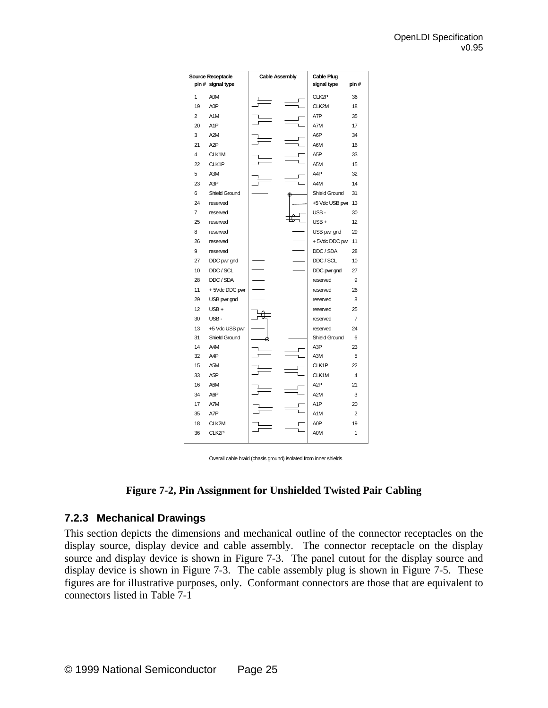| <b>Source Receptacle</b><br><b>Cable Assembly</b><br>pin # signal type |                  | <b>Cable Plug</b><br>signal type | pin#                 |                |
|------------------------------------------------------------------------|------------------|----------------------------------|----------------------|----------------|
| 1                                                                      | A0M              |                                  | CLK2P                | 36             |
| 19                                                                     | A <sub>O</sub> P |                                  | CLK2M                | 18             |
| $\overline{2}$                                                         | A <sub>1</sub> M |                                  | A7P                  | 35             |
| 20                                                                     | A <sub>1</sub> P |                                  | A7M                  | 17             |
| 3                                                                      | A <sub>2M</sub>  |                                  | A6P                  | 34             |
| 21                                                                     | A <sub>2</sub> P |                                  | A6M                  | 16             |
| 4                                                                      | CLK1M            |                                  | A <sub>5</sub> P     | 33             |
| 22                                                                     | CLK1P            |                                  | A <sub>5</sub> M     | 15             |
| 5                                                                      | A3M              |                                  | A4P                  | 32             |
| 23                                                                     | A3P              |                                  | A4M                  | 14             |
| 6                                                                      | Shield Ground    |                                  | Shield Ground        | 31             |
| 24                                                                     | reserved         |                                  | +5 Vdc USB pwr       | 13             |
| $\overline{7}$                                                         | reserved         |                                  | USB-                 | 30             |
| 25                                                                     | reserved         |                                  | $USB +$              | 12             |
| 8                                                                      | reserved         |                                  | USB pwr gnd          | 29             |
| 26                                                                     | reserved         |                                  | +5VdcDDCpw           | 11             |
| 9                                                                      | reserved         |                                  | DDC / SDA            | 28             |
| 27                                                                     | DDC pwr gnd      |                                  | DDC / SCL            | 10             |
| 10                                                                     | DDC / SCL        |                                  | DDC pwr gnd          | 27             |
| 28                                                                     | DDC / SDA        |                                  | reserved             | 9              |
| 11                                                                     | +5VdcDDC pwr     |                                  | reserved             | 26             |
| 29                                                                     | USB pwr gnd      |                                  | reserved             | 8              |
| 12                                                                     | $USB +$          |                                  | reserved             | 25             |
| 30                                                                     | USB-             |                                  | reserved             | $\overline{7}$ |
| 13                                                                     | +5 Vdc USB pwr   |                                  | reserved             | 24             |
| 31                                                                     | Shield Ground    |                                  | <b>Shield Ground</b> | 6              |
| 14                                                                     | A4M              |                                  | A3P                  | 23             |
| 32                                                                     | A <sub>4</sub> P |                                  | A3M                  | 5              |
| 15                                                                     | A <sub>5</sub> M |                                  | CLK1P                | 22             |
| 33                                                                     | A <sub>5</sub> P |                                  | CLK1M                | 4              |
| 16                                                                     | A6M              |                                  | A <sub>2</sub> P     | 21             |
| 34                                                                     | A6P              |                                  | A <sub>2M</sub>      | 3              |
| 17                                                                     | A7M              |                                  | A <sub>1</sub> P     | 20             |
| 35                                                                     | A7P              |                                  | A <sub>1</sub> M     | $\overline{2}$ |
| 18                                                                     | CLK2M            |                                  | A0P                  | 19             |
| 36                                                                     | CLK2P            |                                  | <b>AOM</b>           | 1              |

Overall cable braid (chasis ground) isolated from inner shields.



#### **7.2.3 Mechanical Drawings**

This section depicts the dimensions and mechanical outline of the connector receptacles on the display source, display device and cable assembly. The connector receptacle on the display source and display device is shown in Figure 7-3. The panel cutout for the display source and display device is shown in Figure 7-3. The cable assembly plug is shown in Figure 7-5. These figures are for illustrative purposes, only. Conformant connectors are those that are equivalent to connectors listed in Table 7-1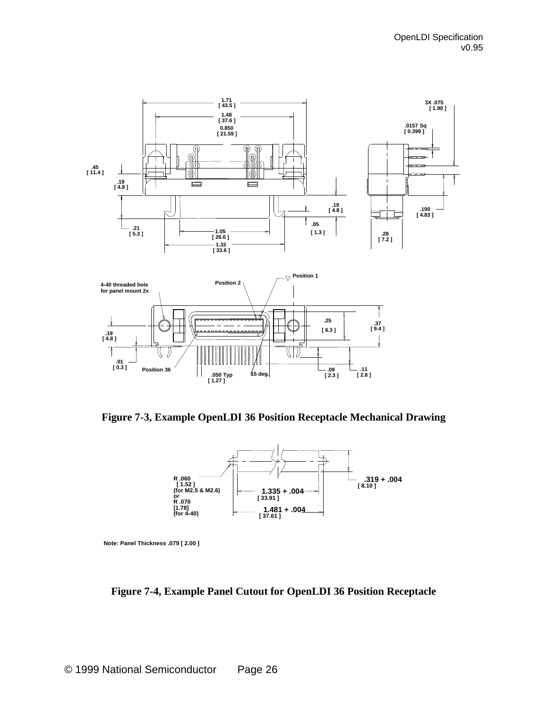

**Figure 7-3, Example OpenLDI 36 Position Receptacle Mechanical Drawing**



**Note: Panel Thickness .079 [ 2.00 ]**

**Figure 7-4, Example Panel Cutout for OpenLDI 36 Position Receptacle**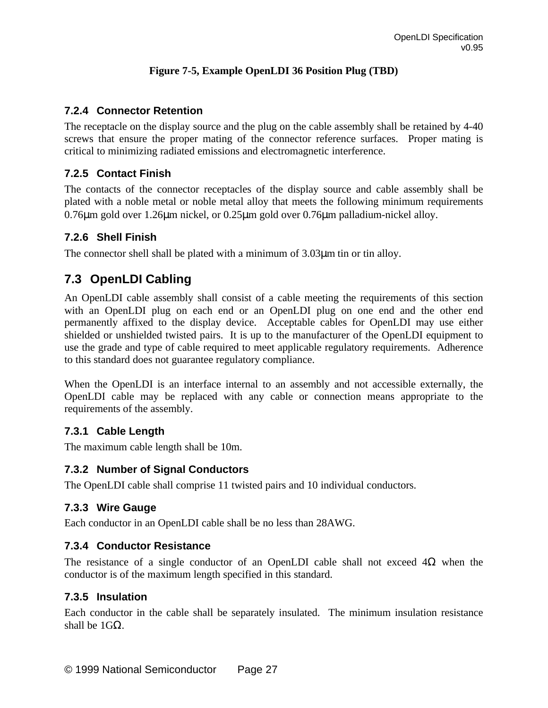#### **Figure 7-5, Example OpenLDI 36 Position Plug (TBD)**

### **7.2.4 Connector Retention**

The receptacle on the display source and the plug on the cable assembly shall be retained by 4-40 screws that ensure the proper mating of the connector reference surfaces. Proper mating is critical to minimizing radiated emissions and electromagnetic interference.

### **7.2.5 Contact Finish**

The contacts of the connector receptacles of the display source and cable assembly shall be plated with a noble metal or noble metal alloy that meets the following minimum requirements 0.76μm gold over 1.26μm nickel, or 0.25μm gold over 0.76μm palladium-nickel alloy.

#### **7.2.6 Shell Finish**

The connector shell shall be plated with a minimum of 3.03μm tin or tin alloy.

## **7.3 OpenLDI Cabling**

An OpenLDI cable assembly shall consist of a cable meeting the requirements of this section with an OpenLDI plug on each end or an OpenLDI plug on one end and the other end permanently affixed to the display device. Acceptable cables for OpenLDI may use either shielded or unshielded twisted pairs. It is up to the manufacturer of the OpenLDI equipment to use the grade and type of cable required to meet applicable regulatory requirements. Adherence to this standard does not guarantee regulatory compliance.

When the OpenLDI is an interface internal to an assembly and not accessible externally, the OpenLDI cable may be replaced with any cable or connection means appropriate to the requirements of the assembly.

#### **7.3.1 Cable Length**

The maximum cable length shall be 10m.

#### **7.3.2 Number of Signal Conductors**

The OpenLDI cable shall comprise 11 twisted pairs and 10 individual conductors.

### **7.3.3 Wire Gauge**

Each conductor in an OpenLDI cable shall be no less than 28AWG.

#### **7.3.4 Conductor Resistance**

The resistance of a single conductor of an OpenLDI cable shall not exceed  $4\Omega$  when the conductor is of the maximum length specified in this standard.

#### **7.3.5 Insulation**

Each conductor in the cable shall be separately insulated. The minimum insulation resistance shall be  $1GΩ$ .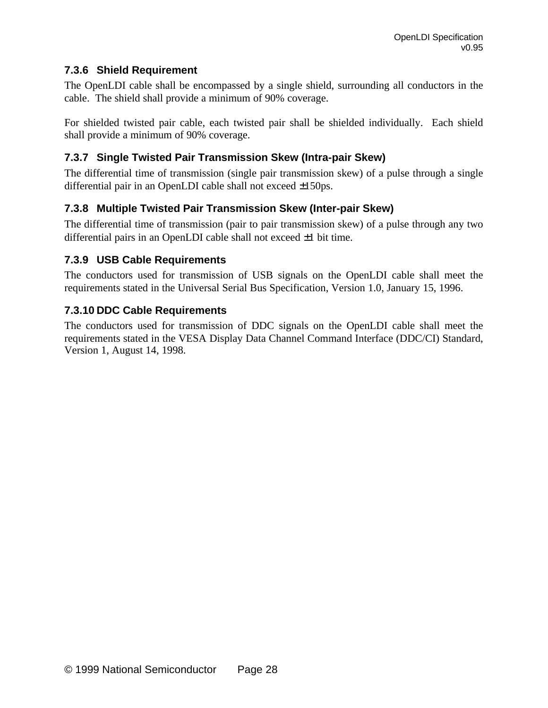## **7.3.6 Shield Requirement**

The OpenLDI cable shall be encompassed by a single shield, surrounding all conductors in the cable. The shield shall provide a minimum of 90% coverage.

For shielded twisted pair cable, each twisted pair shall be shielded individually. Each shield shall provide a minimum of 90% coverage.

## **7.3.7 Single Twisted Pair Transmission Skew (Intra-pair Skew)**

The differential time of transmission (single pair transmission skew) of a pulse through a single differential pair in an OpenLDI cable shall not exceed ±150ps.

## **7.3.8 Multiple Twisted Pair Transmission Skew (Inter-pair Skew)**

The differential time of transmission (pair to pair transmission skew) of a pulse through any two differential pairs in an OpenLDI cable shall not exceed ±1 bit time.

### **7.3.9 USB Cable Requirements**

The conductors used for transmission of USB signals on the OpenLDI cable shall meet the requirements stated in the Universal Serial Bus Specification, Version 1.0, January 15, 1996.

## **7.3.10 DDC Cable Requirements**

The conductors used for transmission of DDC signals on the OpenLDI cable shall meet the requirements stated in the VESA Display Data Channel Command Interface (DDC/CI) Standard, Version 1, August 14, 1998.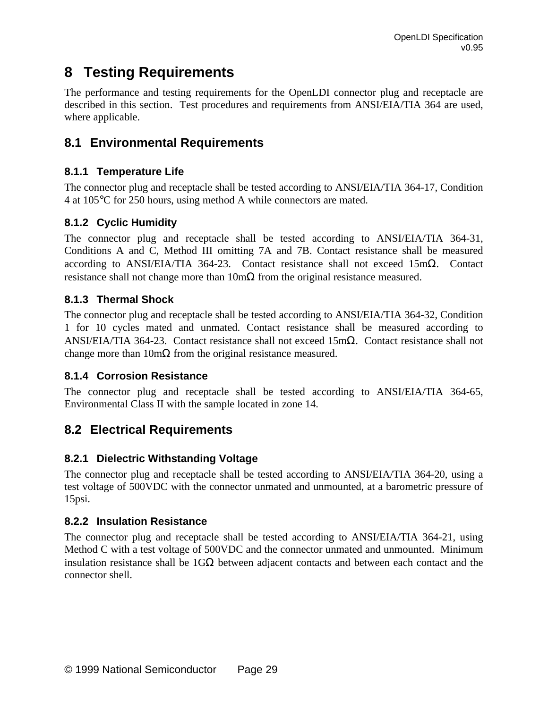# **8 Testing Requirements**

The performance and testing requirements for the OpenLDI connector plug and receptacle are described in this section. Test procedures and requirements from ANSI/EIA/TIA 364 are used, where applicable.

## **8.1 Environmental Requirements**

## **8.1.1 Temperature Life**

The connector plug and receptacle shall be tested according to ANSI/EIA/TIA 364-17, Condition 4 at 105°C for 250 hours, using method A while connectors are mated.

## **8.1.2 Cyclic Humidity**

The connector plug and receptacle shall be tested according to ANSI/EIA/TIA 364-31, Conditions A and C, Method III omitting 7A and 7B. Contact resistance shall be measured according to ANSI/EIA/TIA 364-23. Contact resistance shall not exceed 15mΩ. Contact resistance shall not change more than  $10 \text{m}\Omega$  from the original resistance measured.

## **8.1.3 Thermal Shock**

The connector plug and receptacle shall be tested according to ANSI/EIA/TIA 364-32, Condition 1 for 10 cycles mated and unmated. Contact resistance shall be measured according to ANSI/EIA/TIA 364-23. Contact resistance shall not exceed 15mΩ. Contact resistance shall not change more than  $10 \text{m}\Omega$  from the original resistance measured.

### **8.1.4 Corrosion Resistance**

The connector plug and receptacle shall be tested according to ANSI/EIA/TIA 364-65, Environmental Class II with the sample located in zone 14.

## **8.2 Electrical Requirements**

## **8.2.1 Dielectric Withstanding Voltage**

The connector plug and receptacle shall be tested according to ANSI/EIA/TIA 364-20, using a test voltage of 500VDC with the connector unmated and unmounted, at a barometric pressure of 15psi.

### **8.2.2 Insulation Resistance**

The connector plug and receptacle shall be tested according to ANSI/EIA/TIA 364-21, using Method C with a test voltage of 500VDC and the connector unmated and unmounted. Minimum insulation resistance shall be  $1G\Omega$  between adjacent contacts and between each contact and the connector shell.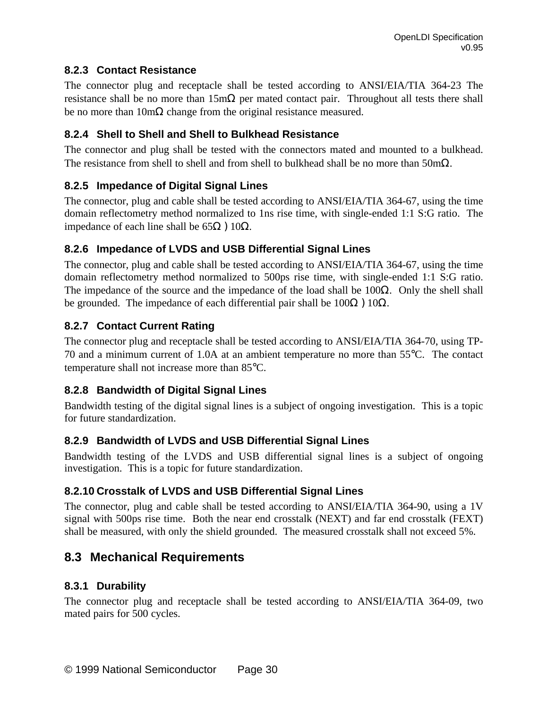## **8.2.3 Contact Resistance**

The connector plug and receptacle shall be tested according to ANSI/EIA/TIA 364-23 The resistance shall be no more than  $15m\Omega$  per mated contact pair. Throughout all tests there shall be no more than  $10m\Omega$  change from the original resistance measured.

## **8.2.4 Shell to Shell and Shell to Bulkhead Resistance**

The connector and plug shall be tested with the connectors mated and mounted to a bulkhead. The resistance from shell to shell and from shell to bulkhead shall be no more than  $50 \text{m}\Omega$ .

## **8.2.5 Impedance of Digital Signal Lines**

The connector, plug and cable shall be tested according to ANSI/EIA/TIA 364-67, using the time domain reflectometry method normalized to 1ns rise time, with single-ended 1:1 S:G ratio. The impedance of each line shall be  $65Ω$  )  $10Ω$ .

### **8.2.6 Impedance of LVDS and USB Differential Signal Lines**

The connector, plug and cable shall be tested according to ANSI/EIA/TIA 364-67, using the time domain reflectometry method normalized to 500ps rise time, with single-ended 1:1 S:G ratio. The impedance of the source and the impedance of the load shall be  $100\Omega$ . Only the shell shall be grounded. The impedance of each differential pair shall be  $100\Omega$  )  $10\Omega$ .

## **8.2.7 Contact Current Rating**

The connector plug and receptacle shall be tested according to ANSI/EIA/TIA 364-70, using TP-70 and a minimum current of 1.0A at an ambient temperature no more than 55°C. The contact temperature shall not increase more than 85°C.

## **8.2.8 Bandwidth of Digital Signal Lines**

Bandwidth testing of the digital signal lines is a subject of ongoing investigation. This is a topic for future standardization.

### **8.2.9 Bandwidth of LVDS and USB Differential Signal Lines**

Bandwidth testing of the LVDS and USB differential signal lines is a subject of ongoing investigation. This is a topic for future standardization.

## **8.2.10 Crosstalk of LVDS and USB Differential Signal Lines**

The connector, plug and cable shall be tested according to ANSI/EIA/TIA 364-90, using a 1V signal with 500ps rise time. Both the near end crosstalk (NEXT) and far end crosstalk (FEXT) shall be measured, with only the shield grounded. The measured crosstalk shall not exceed 5%.

## **8.3 Mechanical Requirements**

### **8.3.1 Durability**

The connector plug and receptacle shall be tested according to ANSI/EIA/TIA 364-09, two mated pairs for 500 cycles.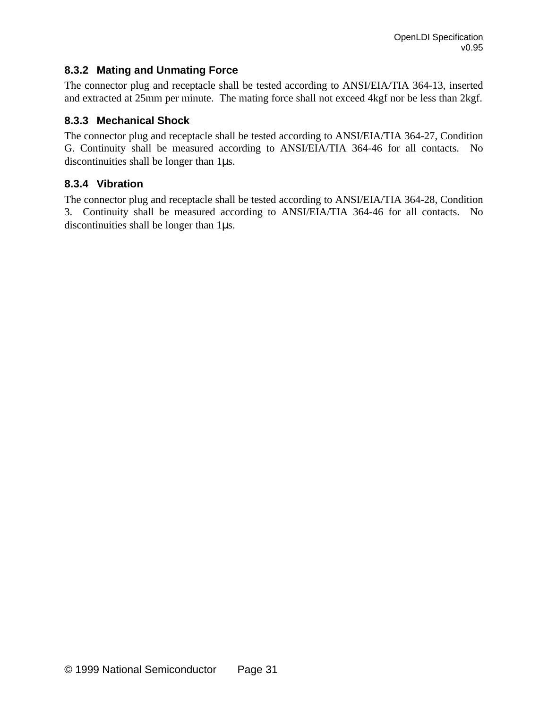### **8.3.2 Mating and Unmating Force**

The connector plug and receptacle shall be tested according to ANSI/EIA/TIA 364-13, inserted and extracted at 25mm per minute. The mating force shall not exceed 4kgf nor be less than 2kgf.

#### **8.3.3 Mechanical Shock**

The connector plug and receptacle shall be tested according to ANSI/EIA/TIA 364-27, Condition G. Continuity shall be measured according to ANSI/EIA/TIA 364-46 for all contacts. No discontinuities shall be longer than 1μs.

#### **8.3.4 Vibration**

The connector plug and receptacle shall be tested according to ANSI/EIA/TIA 364-28, Condition 3. Continuity shall be measured according to ANSI/EIA/TIA 364-46 for all contacts. No discontinuities shall be longer than 1μs.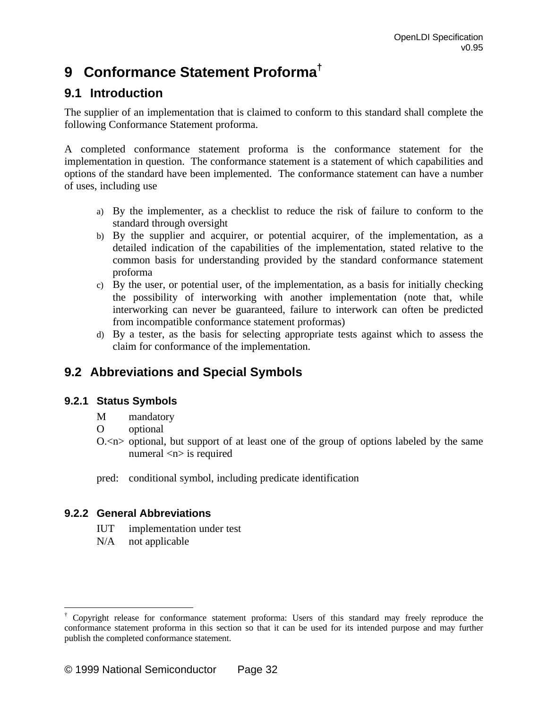# **9 Conformance Statement Proforma†**

## **9.1 Introduction**

The supplier of an implementation that is claimed to conform to this standard shall complete the following Conformance Statement proforma.

A completed conformance statement proforma is the conformance statement for the implementation in question. The conformance statement is a statement of which capabilities and options of the standard have been implemented. The conformance statement can have a number of uses, including use

- a) By the implementer, as a checklist to reduce the risk of failure to conform to the standard through oversight
- b) By the supplier and acquirer, or potential acquirer, of the implementation, as a detailed indication of the capabilities of the implementation, stated relative to the common basis for understanding provided by the standard conformance statement proforma
- c) By the user, or potential user, of the implementation, as a basis for initially checking the possibility of interworking with another implementation (note that, while interworking can never be guaranteed, failure to interwork can often be predicted from incompatible conformance statement proformas)
- d) By a tester, as the basis for selecting appropriate tests against which to assess the claim for conformance of the implementation.

## **9.2 Abbreviations and Special Symbols**

#### **9.2.1 Status Symbols**

- M mandatory
- O optional
- O.<n> optional, but support of at least one of the group of options labeled by the same numeral  $\langle n \rangle$  is required
- pred: conditional symbol, including predicate identification

#### **9.2.2 General Abbreviations**

 $\overline{a}$ 

- IUT implementation under test
- N/A not applicable

<sup>†</sup> Copyright release for conformance statement proforma: Users of this standard may freely reproduce the conformance statement proforma in this section so that it can be used for its intended purpose and may further publish the completed conformance statement.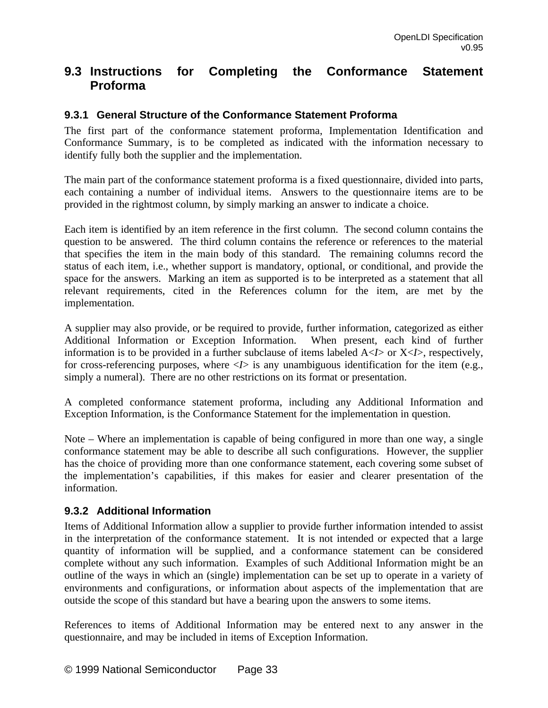## **9.3 Instructions for Completing the Conformance Statement Proforma**

### **9.3.1 General Structure of the Conformance Statement Proforma**

The first part of the conformance statement proforma, Implementation Identification and Conformance Summary, is to be completed as indicated with the information necessary to identify fully both the supplier and the implementation.

The main part of the conformance statement proforma is a fixed questionnaire, divided into parts, each containing a number of individual items. Answers to the questionnaire items are to be provided in the rightmost column, by simply marking an answer to indicate a choice.

Each item is identified by an item reference in the first column. The second column contains the question to be answered. The third column contains the reference or references to the material that specifies the item in the main body of this standard. The remaining columns record the status of each item, i.e., whether support is mandatory, optional, or conditional, and provide the space for the answers. Marking an item as supported is to be interpreted as a statement that all relevant requirements, cited in the References column for the item, are met by the implementation.

A supplier may also provide, or be required to provide, further information, categorized as either Additional Information or Exception Information. When present, each kind of further information is to be provided in a further subclause of items labeled  $A \triangleleft I>$  or  $X \triangleleft I>$ , respectively, for cross-referencing purposes, where  $\langle I \rangle$  is any unambiguous identification for the item (e.g., simply a numeral). There are no other restrictions on its format or presentation.

A completed conformance statement proforma, including any Additional Information and Exception Information, is the Conformance Statement for the implementation in question.

Note – Where an implementation is capable of being configured in more than one way, a single conformance statement may be able to describe all such configurations. However, the supplier has the choice of providing more than one conformance statement, each covering some subset of the implementation's capabilities, if this makes for easier and clearer presentation of the information.

#### **9.3.2 Additional Information**

Items of Additional Information allow a supplier to provide further information intended to assist in the interpretation of the conformance statement. It is not intended or expected that a large quantity of information will be supplied, and a conformance statement can be considered complete without any such information. Examples of such Additional Information might be an outline of the ways in which an (single) implementation can be set up to operate in a variety of environments and configurations, or information about aspects of the implementation that are outside the scope of this standard but have a bearing upon the answers to some items.

References to items of Additional Information may be entered next to any answer in the questionnaire, and may be included in items of Exception Information.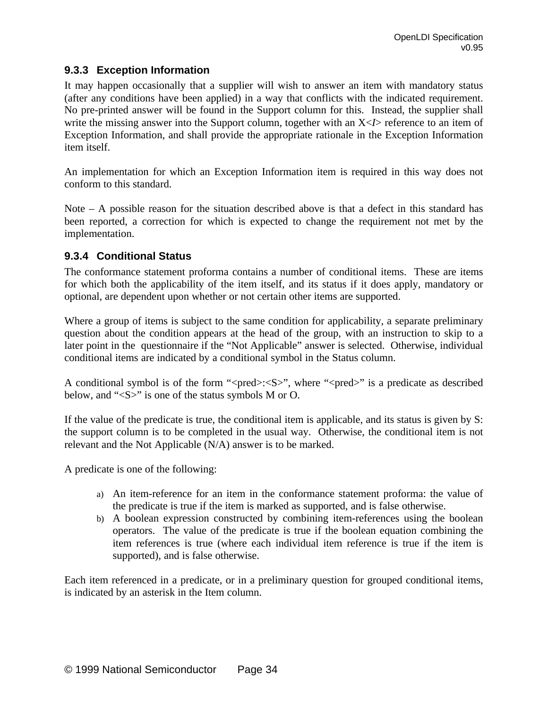#### **9.3.3 Exception Information**

It may happen occasionally that a supplier will wish to answer an item with mandatory status (after any conditions have been applied) in a way that conflicts with the indicated requirement. No pre-printed answer will be found in the Support column for this. Instead, the supplier shall write the missing answer into the Support column, together with an  $X < I >$  reference to an item of Exception Information, and shall provide the appropriate rationale in the Exception Information item itself.

An implementation for which an Exception Information item is required in this way does not conform to this standard.

Note  $-$  A possible reason for the situation described above is that a defect in this standard has been reported, a correction for which is expected to change the requirement not met by the implementation.

#### **9.3.4 Conditional Status**

The conformance statement proforma contains a number of conditional items. These are items for which both the applicability of the item itself, and its status if it does apply, mandatory or optional, are dependent upon whether or not certain other items are supported.

Where a group of items is subject to the same condition for applicability, a separate preliminary question about the condition appears at the head of the group, with an instruction to skip to a later point in the questionnaire if the "Not Applicable" answer is selected. Otherwise, individual conditional items are indicated by a conditional symbol in the Status column.

A conditional symbol is of the form " $\langle pred \rangle$ : $\langle S \rangle$ ", where " $\langle pred \rangle$ " is a predicate as described below, and "<S>" is one of the status symbols M or O.

If the value of the predicate is true, the conditional item is applicable, and its status is given by S: the support column is to be completed in the usual way. Otherwise, the conditional item is not relevant and the Not Applicable (N/A) answer is to be marked.

A predicate is one of the following:

- a) An item-reference for an item in the conformance statement proforma: the value of the predicate is true if the item is marked as supported, and is false otherwise.
- b) A boolean expression constructed by combining item-references using the boolean operators. The value of the predicate is true if the boolean equation combining the item references is true (where each individual item reference is true if the item is supported), and is false otherwise.

Each item referenced in a predicate, or in a preliminary question for grouped conditional items, is indicated by an asterisk in the Item column.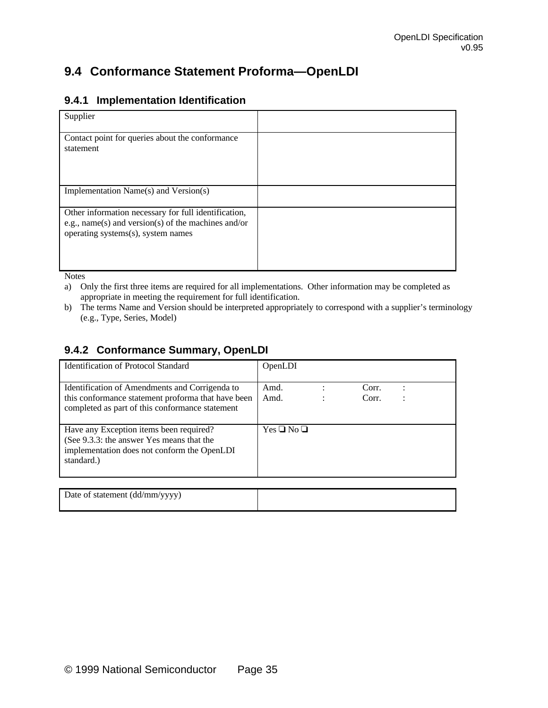## **9.4 Conformance Statement Proforma—OpenLDI**

#### **9.4.1 Implementation Identification**

| Supplier                                                                                                                                          |  |
|---------------------------------------------------------------------------------------------------------------------------------------------------|--|
| Contact point for queries about the conformance<br>statement                                                                                      |  |
| Implementation Name(s) and Version(s)                                                                                                             |  |
| Other information necessary for full identification,<br>e.g., name(s) and version(s) of the machines and/or<br>operating systems(s), system names |  |

Notes

a) Only the first three items are required for all implementations. Other information may be completed as appropriate in meeting the requirement for full identification.

b) The terms Name and Version should be interpreted appropriately to correspond with a supplier's terminology (e.g., Type, Series, Model)

#### **9.4.2 Conformance Summary, OpenLDI**

| Identification of Protocol Standard                                                                                                                     | OpenLDI            |                |  |
|---------------------------------------------------------------------------------------------------------------------------------------------------------|--------------------|----------------|--|
| Identification of Amendments and Corrigenda to<br>this conformance statement proforma that have been<br>completed as part of this conformance statement | Amd.<br>Amd.       | Corr.<br>Corr. |  |
| Have any Exception items been required?<br>(See 9.3.3: the answer Yes means that the<br>implementation does not conform the OpenLDI<br>standard.)       | $Yes \Box No \Box$ |                |  |
|                                                                                                                                                         |                    |                |  |
| Date of statement (dd/mm/yyyy)                                                                                                                          |                    |                |  |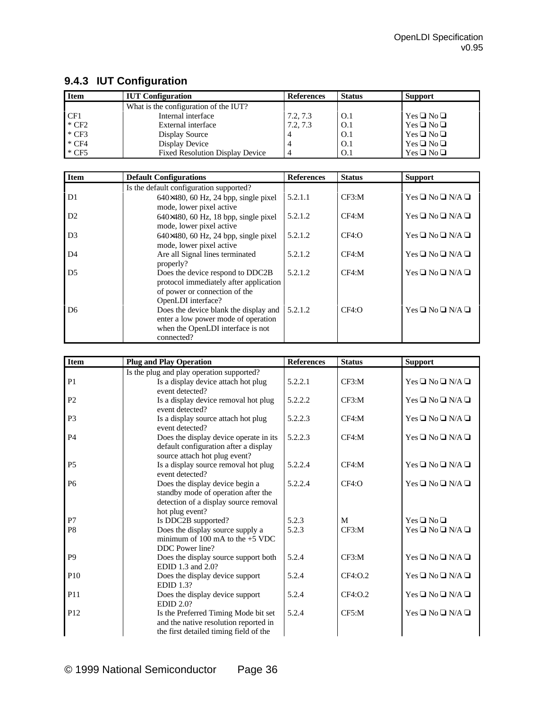| <b>Item</b> | <b>IUT</b> Configuration               | <b>References</b> | <b>Status</b> | <b>Support</b>     |
|-------------|----------------------------------------|-------------------|---------------|--------------------|
|             | What is the configuration of the IUT?  |                   |               |                    |
| CF1         | Internal interface                     | 7.2, 7.3          | O.1           | $Yes \Box No \Box$ |
| $*$ CF2     | External interface                     | 7.2, 7.3          | O.1           | $Yes \Box No \Box$ |
| $*$ CF3     | Display Source                         |                   | O.1           | $Yes \Box No \Box$ |
| $*$ CF4     | Display Device                         |                   | O.1           | $Yes \Box No \Box$ |
| $*$ CF5     | <b>Fixed Resolution Display Device</b> |                   | O.1           | $Yes \Box No \Box$ |

## **9.4.3 IUT Configuration**

| <b>Item</b>    | <b>Default Configurations</b>                                                                                                     | <b>References</b> | <b>Status</b> | <b>Support</b>              |
|----------------|-----------------------------------------------------------------------------------------------------------------------------------|-------------------|---------------|-----------------------------|
|                | Is the default configuration supported?                                                                                           |                   |               |                             |
| D <sub>1</sub> | $640\times480$ , 60 Hz, 24 bpp, single pixel<br>mode, lower pixel active                                                          | 5.2.1.1           | CF3: M        | $Yes \Box No \Box N/A \Box$ |
| D2             | $640\times480$ , 60 Hz, 18 bpp, single pixel<br>mode, lower pixel active                                                          | 5.2.1.2           | CF4: M        | $Yes \Box No \Box N/A \Box$ |
| D <sub>3</sub> | $640\times480$ , 60 Hz, 24 bpp, single pixel<br>mode, lower pixel active                                                          | 5.2.1.2           | CF4:O         | $Yes \Box No \Box N/A \Box$ |
| D <sub>4</sub> | Are all Signal lines terminated<br>properly?                                                                                      | 5.2.1.2           | CF4: M        | $Yes \Box No \Box N/A \Box$ |
| D <sub>5</sub> | Does the device respond to DDC2B<br>protocol immediately after application<br>of power or connection of the<br>OpenLDI interface? | 5.2.1.2           | CF4: M        | $Yes \Box No \Box N/A \Box$ |
| D <sub>6</sub> | Does the device blank the display and<br>enter a low power mode of operation<br>when the OpenLDI interface is not<br>connected?   | 5.2.1.2           | CF4:O         | $Yes \Box No \Box N/A \Box$ |

| <b>Item</b>     | <b>Plug and Play Operation</b>                                                                                                     | <b>References</b> | <b>Status</b> | <b>Support</b>                       |
|-----------------|------------------------------------------------------------------------------------------------------------------------------------|-------------------|---------------|--------------------------------------|
|                 | Is the plug and play operation supported?                                                                                          |                   |               |                                      |
| P <sub>1</sub>  | Is a display device attach hot plug<br>event detected?                                                                             | 5.2.2.1           | CF3:M         | $Yes \square No \square N/A \square$ |
| P <sub>2</sub>  | Is a display device removal hot plug<br>event detected?                                                                            | 5.2.2.2           | CF3: M        | $Yes \Box No \Box N/A \Box$          |
| P <sub>3</sub>  | Is a display source attach hot plug<br>event detected?                                                                             | 5.2.2.3           | CF4: M        | $Yes \Box No \Box N/A \Box$          |
| P <sub>4</sub>  | Does the display device operate in its<br>default configuration after a display<br>source attach hot plug event?                   | 5.2.2.3           | CF4: M        | $Yes \Box No \Box N/A \Box$          |
| <b>P5</b>       | Is a display source removal hot plug<br>event detected?                                                                            | 5.2.2.4           | CF4:M         | $Yes \square No \square N/A \square$ |
| P <sub>6</sub>  | Does the display device begin a<br>standby mode of operation after the<br>detection of a display source removal<br>hot plug event? | 5.2.2.4           | CF4:O         | $Yes \Box No \Box N/A \Box$          |
| P7              | Is DDC2B supported?                                                                                                                | 5.2.3             | M             | $Yes \Box No \Box$                   |
| P <sub>8</sub>  | Does the display source supply a<br>minimum of 100 mA to the $+5$ VDC<br>DDC Power line?                                           | 5.2.3             | CF3: M        | $Yes \Box No \Box N/A \Box$          |
| P <sub>9</sub>  | Does the display source support both<br>EDID 1.3 and 2.0?                                                                          | 5.2.4             | CF3:M         | $Yes \Box No \Box N/A \Box$          |
| P <sub>10</sub> | Does the display device support<br><b>EDID 1.3?</b>                                                                                | 5.2.4             | CF4:O.2       | $Yes \Box No \Box N/A \Box$          |
| P <sub>11</sub> | Does the display device support<br>EDID 2.0?                                                                                       | 5.2.4             | CF4:O.2       | $Yes \Box No \Box N/A \Box$          |
| P <sub>12</sub> | Is the Preferred Timing Mode bit set<br>and the native resolution reported in<br>the first detailed timing field of the            | 5.2.4             | CF5: M        | $Yes \Box No \Box N/A \Box$          |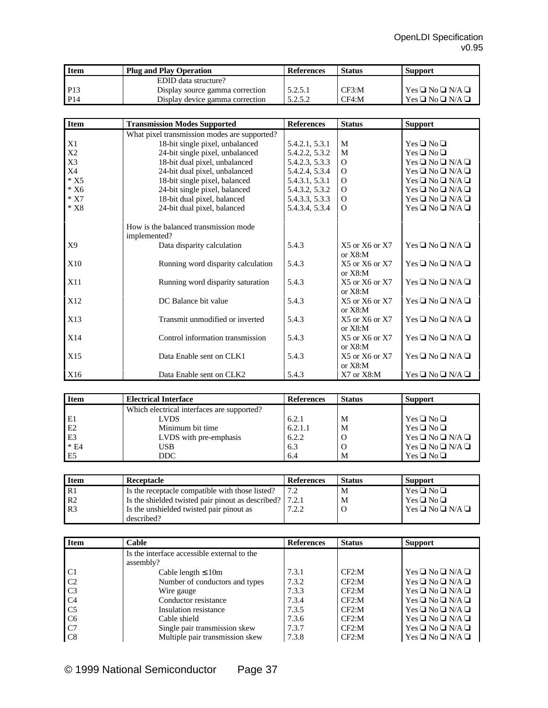| <b>Item</b>     | <b>Plug and Play Operation</b>  | <b>References</b> | <b>Status</b> | <b>Support</b>                           |
|-----------------|---------------------------------|-------------------|---------------|------------------------------------------|
|                 | EDID data structure?            |                   |               |                                          |
| P <sub>13</sub> | Display source gamma correction | 5.2.5.1           | CF3:M         | $\Gamma$ Yes $\Box$ No $\Box$ N/A $\Box$ |
| P <sub>14</sub> | Display device gamma correction | 5.2.5.2           | CF4:M         | $Yes \Box No \Box N/A \Box$              |

| <b>Item</b>    | <b>Transmission Modes Supported</b>                   | <b>References</b> | <b>Status</b>                      | <b>Support</b>                       |
|----------------|-------------------------------------------------------|-------------------|------------------------------------|--------------------------------------|
|                | What pixel transmission modes are supported?          |                   |                                    |                                      |
| X1             | 18-bit single pixel, unbalanced                       | 5.4.2.1, 5.3.1    | M                                  | $Yes \Box No \Box$                   |
| X <sub>2</sub> | 24-bit single pixel, unbalanced                       | 5.4.2.2, 5.3.2    | M                                  | $Yes \Box No \Box$                   |
| X3             | 18-bit dual pixel, unbalanced                         | 5.4.2.3, 5.3.3    | $\Omega$                           | $Yes \Box No \Box N/A \Box$          |
| X4             | 24-bit dual pixel, unbalanced                         | 5.4.2.4, 5.3.4    | $\Omega$                           | $Yes \Box No \Box N/A \Box$          |
| $*$ X5         | 18-bit single pixel, balanced                         | 5.4.3.1, 5.3.1    | $\Omega$                           | $Yes \square No \square N/A \square$ |
| $*X6$          | 24-bit single pixel, balanced                         | 5.4.3.2, 5.3.2    | $\Omega$                           | $Yes \Box No \Box N/A \Box$          |
| $*$ X7         | 18-bit dual pixel, balanced                           | 5.4.3.3, 5.3.3    | $\Omega$                           | $Yes \Box No \Box N/A \Box$          |
| $*X8$          | 24-bit dual pixel, balanced                           | 5.4.3.4, 5.3.4    | $\Omega$                           | $Yes \Box No \Box N/A \Box$          |
|                | How is the balanced transmission mode<br>implemented? |                   |                                    |                                      |
| X <sub>9</sub> | Data disparity calculation                            | 5.4.3             | $X5$ or $X6$ or $X7$<br>or $X8:$ M | $Yes \Box No \Box N/A \Box$          |
| X10            | Running word disparity calculation                    | 5.4.3             | $X5$ or $X6$ or $X7$<br>or $X8:$ M | $Yes \square No \square N/A \square$ |
| X11            | Running word disparity saturation                     | 5.4.3             | $X5$ or $X6$ or $X7$<br>or $X8:$ M | $Yes \Box No \Box N/A \Box$          |
| X12            | DC Balance bit value                                  | 5.4.3             | $X5$ or $X6$ or $X7$<br>or $X8:$ M | $Yes \square No \square N/A \square$ |
| X13            | Transmit unmodified or inverted                       | 5.4.3             | $X5$ or $X6$ or $X7$<br>or $X8:$ M | $Yes \Box No \Box N/A \Box$          |
| X14            | Control information transmission                      | 5.4.3             | $X5$ or $X6$ or $X7$<br>or $X8:$ M | $Yes \square No \square N/A \square$ |
| X15            | Data Enable sent on CLK1                              | 5.4.3             | $X5$ or $X6$ or $X7$<br>or $X8:$ M | $Yes \square No \square N/A \square$ |
| X16            | Data Enable sent on CLK2                              | 5.4.3             | $X7$ or $X8:M$                     | $Yes \Box No \Box N/A \Box$          |

| <b>Item</b>    | <b>Electrical Interface</b>                | <b>References</b> | <b>Status</b> | <b>Support</b>              |
|----------------|--------------------------------------------|-------------------|---------------|-----------------------------|
|                | Which electrical interfaces are supported? |                   |               |                             |
| E1             | <b>LVDS</b>                                | 6.2.1             | M             | $Yes \Box No \Box$          |
| E2             | Minimum bit time                           | 6.2.1.1           | M             | $Yes \Box No \Box$          |
| E3             | LVDS with pre-emphasis                     | 6.2.2             | O             | $Yes \Box No \Box N/A \Box$ |
| $* E4$         | USB                                        | 6.3               | O             | $Yes \Box No \Box N/A \Box$ |
| E <sub>5</sub> | DDC.                                       | 6.4               | M             | $Yes \Box No \Box$          |

| <b>Item</b>    | Receptacle                                        | <b>References</b> | <b>Status</b> | <b>Support</b>                           |
|----------------|---------------------------------------------------|-------------------|---------------|------------------------------------------|
| l R1           | Is the receptacle compatible with those listed?   | 72                | M             | $Yes \Box No \Box$                       |
| R2             | Is the shielded twisted pair pinout as described? | 7.2.1             | M             | $Yes \Box No \Box$                       |
| R <sub>3</sub> | Is the unshielded twisted pair pinout as          | 7.2.2             |               | $\Gamma$ Yes $\Box$ No $\Box$ N/A $\Box$ |
|                | described?                                        |                   |               |                                          |

| <b>Item</b>    | Cable                                       | <b>References</b> | <b>Status</b> | <b>Support</b>              |
|----------------|---------------------------------------------|-------------------|---------------|-----------------------------|
|                | Is the interface accessible external to the |                   |               |                             |
|                | assembly?                                   |                   |               |                             |
| C <sub>1</sub> | Cable length $\leq 10m$                     | 7.3.1             | CF2:M         | $Yes \Box No \Box N/A \Box$ |
| C <sub>2</sub> | Number of conductors and types              | 7.3.2             | CF2:M         | $Yes \Box No \Box N/A \Box$ |
| C <sub>3</sub> | Wire gauge                                  | 7.3.3             | CF2: M        | $Yes \Box No \Box N/A \Box$ |
| C <sub>4</sub> | Conductor resistance                        | 7.3.4             | CF2: M        | $Yes \Box No \Box N/A \Box$ |
| C <sub>5</sub> | Insulation resistance                       | 7.3.5             | CF2: M        | $Yes \Box No \Box N/A \Box$ |
| C <sub>6</sub> | Cable shield                                | 7.3.6             | CF2:M         | $Yes \Box No \Box N/A \Box$ |
| C7             | Single pair transmission skew               | 7.3.7             | CF2: M        | $Yes \Box No \Box N/A \Box$ |
| C8             | Multiple pair transmission skew             | 7.3.8             | CF2:M         | $Yes \Box No \Box N/A \Box$ |